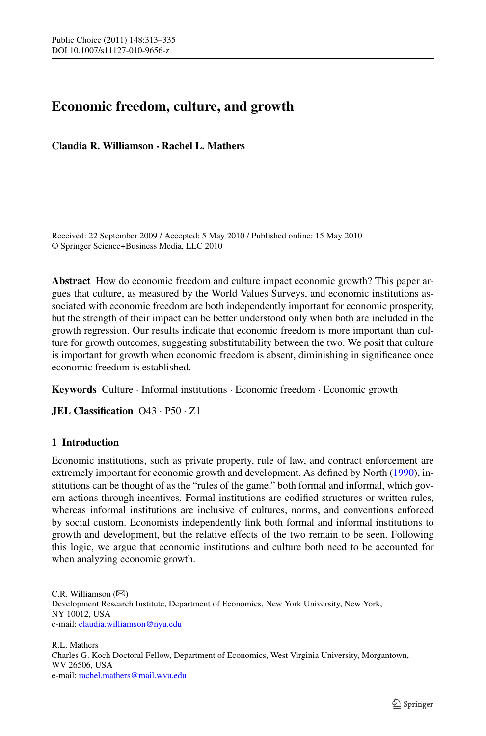# **Economic freedom, culture, and growth**

**Claudia R. Williamson · Rachel L. Mathers**

Received: 22 September 2009 / Accepted: 5 May 2010 / Published online: 15 May 2010 © Springer Science+Business Media, LLC 2010

**Abstract** How do economic freedom and culture impact economic growth? This paper argues that culture, as measured by the World Values Surveys, and economic institutions associated with economic freedom are both independently important for economic prosperity, but the strength of their impact can be better understood only when both are included in the growth regression. Our results indicate that economic freedom is more important than culture for growth outcomes, suggesting substitutability between the two. We posit that culture is important for growth when economic freedom is absent, diminishing in significance once economic freedom is established.

**Keywords** Culture · Informal institutions · Economic freedom · Economic growth

**JEL Classification** O43 · P50 · Z1

## **1 Introduction**

Economic institutions, such as private property, rule of law, and contract enforcement are extremely important for economic growth and development. As defined by North (1990), institutions can be thought of as the "rules of the game," both formal and informal, which govern actions through incentives. Formal institutions are codified structures or written rules, whereas informal institutions are inclusive of cultures, norms, and conventions enforced by social custom. Economists independently link both formal and informal institutions to growth and development, but the relative effects of the two remain to be seen. Following this logic, we argue that economic institutions and culture both need to be accounted for when analyzing economic growth.

 $C.R.$  Williamson  $(\boxtimes)$ 

Development Research Institute, Department of Economics, New York University, New York, NY 10012, USA e-mail: [claudia.williamson@nyu.edu](mailto:claudia.williamson@nyu.edu)

R.L. Mathers Charles G. Koch Doctoral Fellow, Department of Economics, West Virginia University, Morgantown, WV 26506, USA e-mail: [rachel.mathers@mail.wvu.edu](mailto:rachel.mathers@mail.wvu.edu)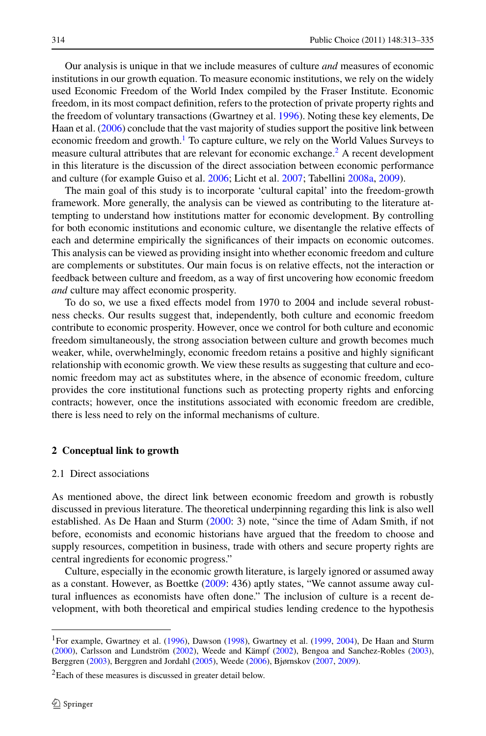Our analysis is unique in that we include measures of culture *and* measures of economic institutions in our growth equation. To measure economic institutions, we rely on the widely used Economic Freedom of the World Index compiled by the Fraser Institute. Economic freedom, in its most compact definition, refers to the protection of private property rights and the freedom of voluntary transactions (Gwartney et al. 1996). Noting these key elements, De Haan et al. (2006) conclude that the vast majority of studies support the positive link between economic freedom and growth.<sup>1</sup> To capture culture, we rely on the World Values Surveys to measure cultural attributes that are relevant for economic exchange.<sup>2</sup> A recent development in this literature is the discussion of the direct association between economic performance and culture (for example Guiso et al. 2006; Licht et al. 2007; Tabellini 2008a, 2009).

The main goal of this study is to incorporate 'cultural capital' into the freedom-growth framework. More generally, the analysis can be viewed as contributing to the literature attempting to understand how institutions matter for economic development. By controlling for both economic institutions and economic culture, we disentangle the relative effects of each and determine empirically the significances of their impacts on economic outcomes. This analysis can be viewed as providing insight into whether economic freedom and culture are complements or substitutes. Our main focus is on relative effects, not the interaction or feedback between culture and freedom, as a way of first uncovering how economic freedom *and* culture may affect economic prosperity.

To do so, we use a fixed effects model from 1970 to 2004 and include several robustness checks. Our results suggest that, independently, both culture and economic freedom contribute to economic prosperity. However, once we control for both culture and economic freedom simultaneously, the strong association between culture and growth becomes much weaker, while, overwhelmingly, economic freedom retains a positive and highly significant relationship with economic growth. We view these results as suggesting that culture and economic freedom may act as substitutes where, in the absence of economic freedom, culture provides the core institutional functions such as protecting property rights and enforcing contracts; however, once the institutions associated with economic freedom are credible, there is less need to rely on the informal mechanisms of culture.

#### **2 Conceptual link to growth**

#### 2.1 Direct associations

As mentioned above, the direct link between economic freedom and growth is robustly discussed in previous literature. The theoretical underpinning regarding this link is also well established. As De Haan and Sturm (2000: 3) note, "since the time of Adam Smith, if not before, economists and economic historians have argued that the freedom to choose and supply resources, competition in business, trade with others and secure property rights are central ingredients for economic progress."

Culture, especially in the economic growth literature, is largely ignored or assumed away as a constant. However, as Boettke (2009: 436) aptly states, "We cannot assume away cultural influences as economists have often done." The inclusion of culture is a recent development, with both theoretical and empirical studies lending credence to the hypothesis

<sup>&</sup>lt;sup>1</sup> For example, Gwartney et al. (1996), Dawson (1998), Gwartney et al. (1999, 2004), De Haan and Sturm (2000), Carlsson and Lundström (2002), Weede and Kämpf (2002), Bengoa and Sanchez-Robles (2003), Berggren (2003), Berggren and Jordahl (2005), Weede (2006), Bjørnskov (2007, 2009).

<sup>&</sup>lt;sup>2</sup>Each of these measures is discussed in greater detail below.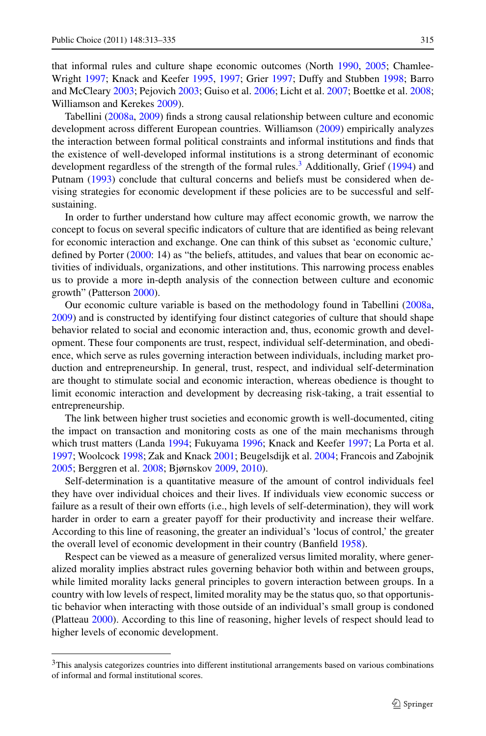that informal rules and culture shape economic outcomes (North 1990, 2005; Chamlee-Wright 1997; Knack and Keefer 1995, 1997; Grier 1997; Duffy and Stubben 1998; Barro and McCleary 2003; Pejovich 2003; Guiso et al. 2006; Licht et al. 2007; Boettke et al. 2008; Williamson and Kerekes 2009).

Tabellini (2008a, 2009) finds a strong causal relationship between culture and economic development across different European countries. Williamson (2009) empirically analyzes the interaction between formal political constraints and informal institutions and finds that the existence of well-developed informal institutions is a strong determinant of economic development regardless of the strength of the formal rules.<sup>3</sup> Additionally, Grief (1994) and Putnam (1993) conclude that cultural concerns and beliefs must be considered when devising strategies for economic development if these policies are to be successful and selfsustaining.

In order to further understand how culture may affect economic growth, we narrow the concept to focus on several specific indicators of culture that are identified as being relevant for economic interaction and exchange. One can think of this subset as 'economic culture,' defined by Porter (2000: 14) as "the beliefs, attitudes, and values that bear on economic activities of individuals, organizations, and other institutions. This narrowing process enables us to provide a more in-depth analysis of the connection between culture and economic growth" (Patterson 2000).

Our economic culture variable is based on the methodology found in Tabellini (2008a, 2009) and is constructed by identifying four distinct categories of culture that should shape behavior related to social and economic interaction and, thus, economic growth and development. These four components are trust, respect, individual self-determination, and obedience, which serve as rules governing interaction between individuals, including market production and entrepreneurship. In general, trust, respect, and individual self-determination are thought to stimulate social and economic interaction, whereas obedience is thought to limit economic interaction and development by decreasing risk-taking, a trait essential to entrepreneurship.

The link between higher trust societies and economic growth is well-documented, citing the impact on transaction and monitoring costs as one of the main mechanisms through which trust matters (Landa 1994; Fukuyama 1996; Knack and Keefer 1997; La Porta et al. 1997; Woolcock 1998; Zak and Knack 2001; Beugelsdijk et al. 2004; Francois and Zabojnik 2005; Berggren et al. 2008; Bjørnskov 2009, 2010).

Self-determination is a quantitative measure of the amount of control individuals feel they have over individual choices and their lives. If individuals view economic success or failure as a result of their own efforts (i.e., high levels of self-determination), they will work harder in order to earn a greater payoff for their productivity and increase their welfare. According to this line of reasoning, the greater an individual's 'locus of control,' the greater the overall level of economic development in their country (Banfield 1958).

Respect can be viewed as a measure of generalized versus limited morality, where generalized morality implies abstract rules governing behavior both within and between groups, while limited morality lacks general principles to govern interaction between groups. In a country with low levels of respect, limited morality may be the status quo, so that opportunistic behavior when interacting with those outside of an individual's small group is condoned (Platteau 2000). According to this line of reasoning, higher levels of respect should lead to higher levels of economic development.

<sup>&</sup>lt;sup>3</sup>This analysis categorizes countries into different institutional arrangements based on various combinations of informal and formal institutional scores.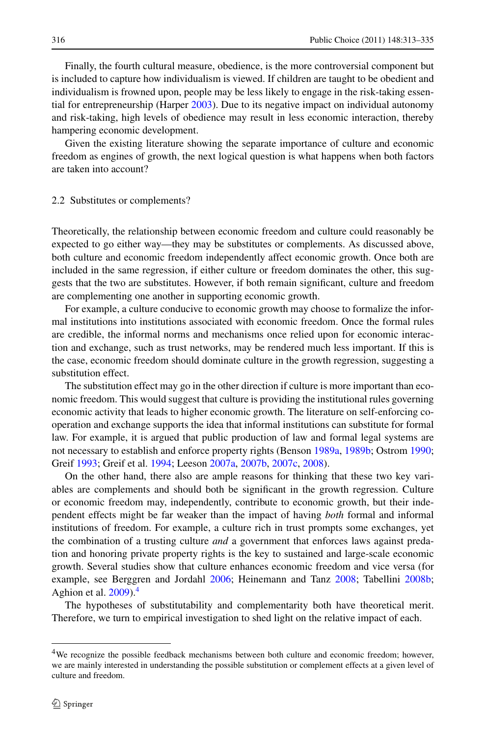Finally, the fourth cultural measure, obedience, is the more controversial component but is included to capture how individualism is viewed. If children are taught to be obedient and individualism is frowned upon, people may be less likely to engage in the risk-taking essential for entrepreneurship (Harper 2003). Due to its negative impact on individual autonomy and risk-taking, high levels of obedience may result in less economic interaction, thereby hampering economic development.

Given the existing literature showing the separate importance of culture and economic freedom as engines of growth, the next logical question is what happens when both factors are taken into account?

#### 2.2 Substitutes or complements?

Theoretically, the relationship between economic freedom and culture could reasonably be expected to go either way—they may be substitutes or complements. As discussed above, both culture and economic freedom independently affect economic growth. Once both are included in the same regression, if either culture or freedom dominates the other, this suggests that the two are substitutes. However, if both remain significant, culture and freedom are complementing one another in supporting economic growth.

For example, a culture conducive to economic growth may choose to formalize the informal institutions into institutions associated with economic freedom. Once the formal rules are credible, the informal norms and mechanisms once relied upon for economic interaction and exchange, such as trust networks, may be rendered much less important. If this is the case, economic freedom should dominate culture in the growth regression, suggesting a substitution effect.

The substitution effect may go in the other direction if culture is more important than economic freedom. This would suggest that culture is providing the institutional rules governing economic activity that leads to higher economic growth. The literature on self-enforcing cooperation and exchange supports the idea that informal institutions can substitute for formal law. For example, it is argued that public production of law and formal legal systems are not necessary to establish and enforce property rights (Benson 1989a, 1989b; Ostrom 1990; Greif 1993; Greif et al. 1994; Leeson 2007a, 2007b, 2007c, 2008).

On the other hand, there also are ample reasons for thinking that these two key variables are complements and should both be significant in the growth regression. Culture or economic freedom may, independently, contribute to economic growth, but their independent effects might be far weaker than the impact of having *both* formal and informal institutions of freedom. For example, a culture rich in trust prompts some exchanges, yet the combination of a trusting culture *and* a government that enforces laws against predation and honoring private property rights is the key to sustained and large-scale economic growth. Several studies show that culture enhances economic freedom and vice versa (for example, see Berggren and Jordahl 2006; Heinemann and Tanz 2008; Tabellini 2008b; Aghion et al.  $2009$ ).<sup>4</sup>

The hypotheses of substitutability and complementarity both have theoretical merit. Therefore, we turn to empirical investigation to shed light on the relative impact of each.

<sup>&</sup>lt;sup>4</sup>We recognize the possible feedback mechanisms between both culture and economic freedom; however, we are mainly interested in understanding the possible substitution or complement effects at a given level of culture and freedom.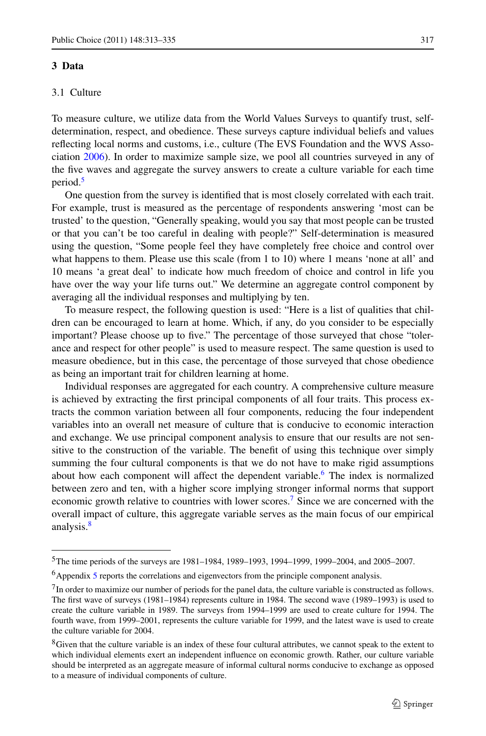## **3 Data**

## 3.1 Culture

To measure culture, we utilize data from the World Values Surveys to quantify trust, selfdetermination, respect, and obedience. These surveys capture individual beliefs and values reflecting local norms and customs, i.e., culture (The EVS Foundation and the WVS Association 2006). In order to maximize sample size, we pool all countries surveyed in any of the five waves and aggregate the survey answers to create a culture variable for each time period.<sup>5</sup>

One question from the survey is identified that is most closely correlated with each trait. For example, trust is measured as the percentage of respondents answering 'most can be trusted' to the question, "Generally speaking, would you say that most people can be trusted or that you can't be too careful in dealing with people?" Self-determination is measured using the question, "Some people feel they have completely free choice and control over what happens to them. Please use this scale (from 1 to 10) where 1 means 'none at all' and 10 means 'a great deal' to indicate how much freedom of choice and control in life you have over the way your life turns out." We determine an aggregate control component by averaging all the individual responses and multiplying by ten.

To measure respect, the following question is used: "Here is a list of qualities that children can be encouraged to learn at home. Which, if any, do you consider to be especially important? Please choose up to five." The percentage of those surveyed that chose "tolerance and respect for other people" is used to measure respect. The same question is used to measure obedience, but in this case, the percentage of those surveyed that chose obedience as being an important trait for children learning at home.

Individual responses are aggregated for each country. A comprehensive culture measure is achieved by extracting the first principal components of all four traits. This process extracts the common variation between all four components, reducing the four independent variables into an overall net measure of culture that is conducive to economic interaction and exchange. We use principal component analysis to ensure that our results are not sensitive to the construction of the variable. The benefit of using this technique over simply summing the four cultural components is that we do not have to make rigid assumptions about how each component will affect the dependent variable.6 The index is normalized between zero and ten, with a higher score implying stronger informal norms that support economic growth relative to countries with lower scores.7 Since we are concerned with the overall impact of culture, this aggregate variable serves as the main focus of our empirical analysis.<sup>8</sup>

<sup>5</sup>The time periods of the surveys are 1981–1984, 1989–1993, 1994–1999, 1999–2004, and 2005–2007.

<sup>&</sup>lt;sup>6</sup>Appendix 5 reports the correlations and eigenvectors from the principle component analysis.

 $<sup>7</sup>$  In order to maximize our number of periods for the panel data, the culture variable is constructed as follows.</sup> The first wave of surveys (1981–1984) represents culture in 1984. The second wave (1989–1993) is used to create the culture variable in 1989. The surveys from 1994–1999 are used to create culture for 1994. The fourth wave, from 1999–2001, represents the culture variable for 1999, and the latest wave is used to create the culture variable for 2004.

<sup>&</sup>lt;sup>8</sup>Given that the culture variable is an index of these four cultural attributes, we cannot speak to the extent to which individual elements exert an independent influence on economic growth. Rather, our culture variable should be interpreted as an aggregate measure of informal cultural norms conducive to exchange as opposed to a measure of individual components of culture.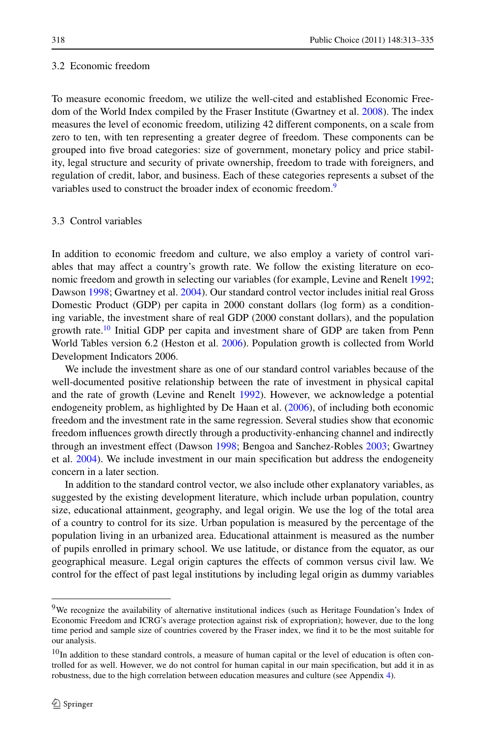#### 3.2 Economic freedom

To measure economic freedom, we utilize the well-cited and established Economic Freedom of the World Index compiled by the Fraser Institute (Gwartney et al. 2008). The index measures the level of economic freedom, utilizing 42 different components, on a scale from zero to ten, with ten representing a greater degree of freedom. These components can be grouped into five broad categories: size of government, monetary policy and price stability, legal structure and security of private ownership, freedom to trade with foreigners, and regulation of credit, labor, and business. Each of these categories represents a subset of the variables used to construct the broader index of economic freedom.<sup>9</sup>

#### 3.3 Control variables

In addition to economic freedom and culture, we also employ a variety of control variables that may affect a country's growth rate. We follow the existing literature on economic freedom and growth in selecting our variables (for example, Levine and Renelt 1992; Dawson 1998; Gwartney et al. 2004). Our standard control vector includes initial real Gross Domestic Product (GDP) per capita in 2000 constant dollars (log form) as a conditioning variable, the investment share of real GDP (2000 constant dollars), and the population growth rate.<sup>10</sup> Initial GDP per capita and investment share of GDP are taken from Penn World Tables version 6.2 (Heston et al. 2006). Population growth is collected from World Development Indicators 2006.

We include the investment share as one of our standard control variables because of the well-documented positive relationship between the rate of investment in physical capital and the rate of growth (Levine and Renelt 1992). However, we acknowledge a potential endogeneity problem, as highlighted by De Haan et al. (2006), of including both economic freedom and the investment rate in the same regression. Several studies show that economic freedom influences growth directly through a productivity-enhancing channel and indirectly through an investment effect (Dawson 1998; Bengoa and Sanchez-Robles 2003; Gwartney et al. 2004). We include investment in our main specification but address the endogeneity concern in a later section.

In addition to the standard control vector, we also include other explanatory variables, as suggested by the existing development literature, which include urban population, country size, educational attainment, geography, and legal origin. We use the log of the total area of a country to control for its size. Urban population is measured by the percentage of the population living in an urbanized area. Educational attainment is measured as the number of pupils enrolled in primary school. We use latitude, or distance from the equator, as our geographical measure. Legal origin captures the effects of common versus civil law. We control for the effect of past legal institutions by including legal origin as dummy variables

<sup>&</sup>lt;sup>9</sup>We recognize the availability of alternative institutional indices (such as Heritage Foundation's Index of Economic Freedom and ICRG's average protection against risk of expropriation); however, due to the long time period and sample size of countries covered by the Fraser index, we find it to be the most suitable for our analysis.

 $10$ In addition to these standard controls, a measure of human capital or the level of education is often controlled for as well. However, we do not control for human capital in our main specification, but add it in as robustness, due to the high correlation between education measures and culture (see Appendix 4).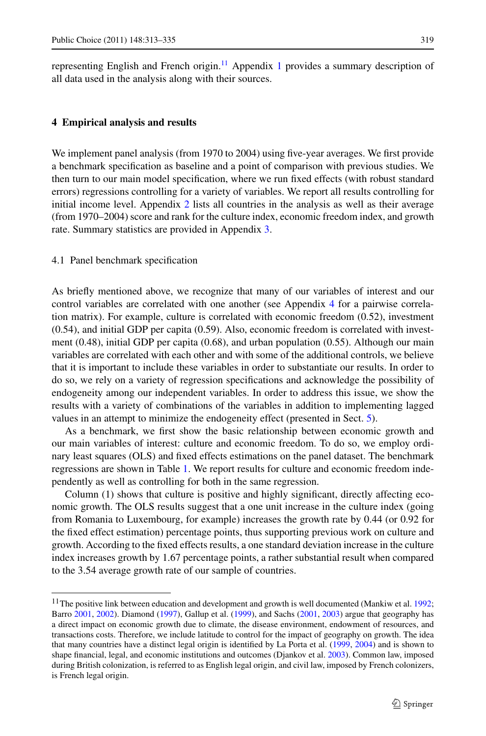representing English and French origin.<sup>11</sup> Appendix 1 provides a summary description of all data used in the analysis along with their sources.

#### **4 Empirical analysis and results**

We implement panel analysis (from 1970 to 2004) using five-year averages. We first provide a benchmark specification as baseline and a point of comparison with previous studies. We then turn to our main model specification, where we run fixed effects (with robust standard errors) regressions controlling for a variety of variables. We report all results controlling for initial income level. Appendix 2 lists all countries in the analysis as well as their average (from 1970–2004) score and rank for the culture index, economic freedom index, and growth rate. Summary statistics are provided in Appendix 3.

#### 4.1 Panel benchmark specification

As briefly mentioned above, we recognize that many of our variables of interest and our control variables are correlated with one another (see Appendix 4 for a pairwise correlation matrix). For example, culture is correlated with economic freedom (0.52), investment (0.54), and initial GDP per capita (0.59). Also, economic freedom is correlated with investment (0.48), initial GDP per capita (0.68), and urban population (0.55). Although our main variables are correlated with each other and with some of the additional controls, we believe that it is important to include these variables in order to substantiate our results. In order to do so, we rely on a variety of regression specifications and acknowledge the possibility of endogeneity among our independent variables. In order to address this issue, we show the results with a variety of combinations of the variables in addition to implementing lagged values in an attempt to minimize the endogeneity effect (presented in Sect. 5).

As a benchmark, we first show the basic relationship between economic growth and our main variables of interest: culture and economic freedom. To do so, we employ ordinary least squares (OLS) and fixed effects estimations on the panel dataset. The benchmark regressions are shown in Table 1. We report results for culture and economic freedom independently as well as controlling for both in the same regression.

Column (1) shows that culture is positive and highly significant, directly affecting economic growth. The OLS results suggest that a one unit increase in the culture index (going from Romania to Luxembourg, for example) increases the growth rate by 0.44 (or 0.92 for the fixed effect estimation) percentage points, thus supporting previous work on culture and growth. According to the fixed effects results, a one standard deviation increase in the culture index increases growth by 1.67 percentage points, a rather substantial result when compared to the 3.54 average growth rate of our sample of countries.

<sup>&</sup>lt;sup>11</sup>The positive link between education and development and growth is well documented (Mankiw et al. 1992; Barro 2001, 2002). Diamond (1997), Gallup et al. (1999), and Sachs (2001, 2003) argue that geography has a direct impact on economic growth due to climate, the disease environment, endowment of resources, and transactions costs. Therefore, we include latitude to control for the impact of geography on growth. The idea that many countries have a distinct legal origin is identified by La Porta et al. (1999, 2004) and is shown to shape financial, legal, and economic institutions and outcomes (Djankov et al. 2003). Common law, imposed during British colonization, is referred to as English legal origin, and civil law, imposed by French colonizers, is French legal origin.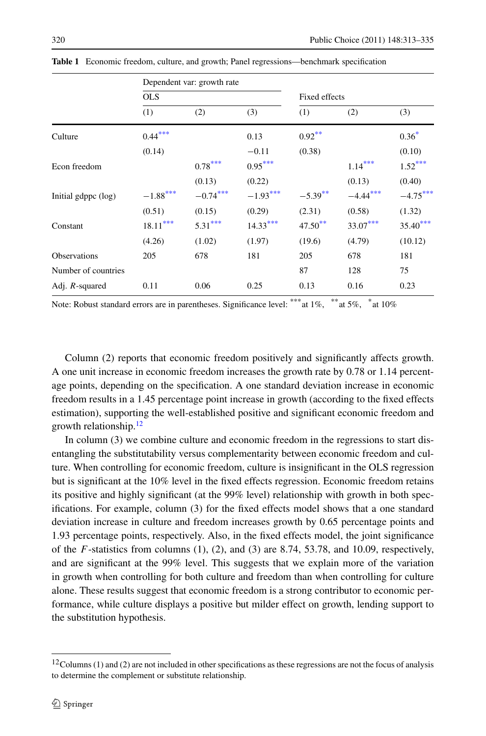|                     |             | Dependent var: growth rate |            |               |            |            |
|---------------------|-------------|----------------------------|------------|---------------|------------|------------|
|                     | <b>OLS</b>  |                            |            | Fixed effects |            |            |
|                     | (1)         | (2)                        | (3)        | (1)           | (2)        | (3)        |
| Culture             | $0.44***$   |                            | 0.13       | $0.92***$     |            | $0.36*$    |
|                     | (0.14)      |                            | $-0.11$    | (0.38)        |            | (0.10)     |
| Econ freedom        |             | $0.78***$                  | $0.95***$  |               | $1.14***$  | $1.52***$  |
|                     |             | (0.13)                     | (0.22)     |               | (0.13)     | (0.40)     |
| Initial gdppc (log) | $-1.88$ *** | $-0.74***$                 | $-1.93***$ | $-5.39***$    | $-4.44***$ | $-4.75***$ |
|                     | (0.51)      | (0.15)                     | (0.29)     | (2.31)        | (0.58)     | (1.32)     |
| Constant            | $18.11***$  | $5.31***$                  | $14.33***$ | $47.50***$    | $33.07***$ | $35.40***$ |
|                     | (4.26)      | (1.02)                     | (1.97)     | (19.6)        | (4.79)     | (10.12)    |
| <b>Observations</b> | 205         | 678                        | 181        | 205           | 678        | 181        |
| Number of countries |             |                            |            | 87            | 128        | 75         |
| Adj. $R$ -squared   | 0.11        | 0.06                       | 0.25       | 0.13          | 0.16       | 0.23       |

**Table 1** Economic freedom, culture, and growth; Panel regressions—benchmark specification

Note: Robust standard errors are in parentheses. Significance level: \*\*\* at 1%, \*\*at 5%, \*at 10%

Column (2) reports that economic freedom positively and significantly affects growth. A one unit increase in economic freedom increases the growth rate by 0.78 or 1.14 percentage points, depending on the specification. A one standard deviation increase in economic freedom results in a 1.45 percentage point increase in growth (according to the fixed effects estimation), supporting the well-established positive and significant economic freedom and growth relationship. $12$ 

In column (3) we combine culture and economic freedom in the regressions to start disentangling the substitutability versus complementarity between economic freedom and culture. When controlling for economic freedom, culture is insignificant in the OLS regression but is significant at the 10% level in the fixed effects regression. Economic freedom retains its positive and highly significant (at the 99% level) relationship with growth in both specifications. For example, column (3) for the fixed effects model shows that a one standard deviation increase in culture and freedom increases growth by 0.65 percentage points and 1.93 percentage points, respectively. Also, in the fixed effects model, the joint significance of the  $F$ -statistics from columns  $(1)$ ,  $(2)$ , and  $(3)$  are 8.74, 53.78, and 10.09, respectively, and are significant at the 99% level. This suggests that we explain more of the variation in growth when controlling for both culture and freedom than when controlling for culture alone. These results suggest that economic freedom is a strong contributor to economic performance, while culture displays a positive but milder effect on growth, lending support to the substitution hypothesis.

 $12$ Columns (1) and (2) are not included in other specifications as these regressions are not the focus of analysis to determine the complement or substitute relationship.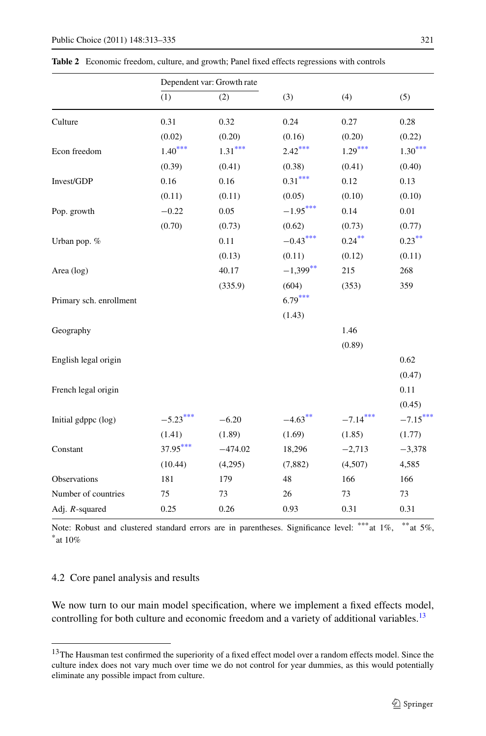|                         |            | Dependent var: Growth rate |             |            |            |
|-------------------------|------------|----------------------------|-------------|------------|------------|
|                         | (1)        | (2)                        | (3)         | (4)        | (5)        |
| Culture                 | 0.31       | 0.32                       | 0.24        | 0.27       | 0.28       |
|                         | (0.02)     | (0.20)                     | (0.16)      | (0.20)     | (0.22)     |
| Econ freedom            | $1.40***$  | $1.31***$                  | $2.42***$   | $1.29***$  | $1.30***$  |
|                         | (0.39)     | (0.41)                     | (0.38)      | (0.41)     | (0.40)     |
| Invest/GDP              | 0.16       | 0.16                       | $0.31***$   | 0.12       | 0.13       |
|                         | (0.11)     | (0.11)                     | (0.05)      | (0.10)     | (0.10)     |
| Pop. growth             | $-0.22$    | 0.05                       | $-1.95***$  | 0.14       | 0.01       |
|                         | (0.70)     | (0.73)                     | (0.62)      | (0.73)     | (0.77)     |
| Urban pop. %            |            | 0.11                       | $-0.43***$  | $0.24***$  | $0.23***$  |
|                         |            | (0.13)                     | (0.11)      | (0.12)     | (0.11)     |
| Area (log)              |            | 40.17                      | $-1,399***$ | 215        | 268        |
|                         |            | (335.9)                    | (604)       | (353)      | 359        |
| Primary sch. enrollment |            |                            | $6.79***$   |            |            |
|                         |            |                            | (1.43)      |            |            |
| Geography               |            |                            |             | 1.46       |            |
|                         |            |                            |             | (0.89)     |            |
| English legal origin    |            |                            |             |            | 0.62       |
|                         |            |                            |             |            | (0.47)     |
| French legal origin     |            |                            |             |            | 0.11       |
|                         |            |                            |             |            | (0.45)     |
| Initial gdppc (log)     | $-5.23***$ | $-6.20$                    | $-4.63$ **  | $-7.14***$ | $-7.15***$ |
|                         | (1.41)     | (1.89)                     | (1.69)      | (1.85)     | (1.77)     |
| Constant                | $37.95***$ | $-474.02$                  | 18,296      | $-2,713$   | $-3,378$   |
|                         | (10.44)    | (4,295)                    | (7,882)     | (4,507)    | 4,585      |
| Observations            | 181        | 179                        | 48          | 166        | 166        |
| Number of countries     | 75         | 73                         | 26          | 73         | 73         |
| Adj. R-squared          | 0.25       | 0.26                       | 0.93        | 0.31       | 0.31       |

**Table 2** Economic freedom, culture, and growth; Panel fixed effects regressions with controls

Note: Robust and clustered standard errors are in parentheses. Significance level: \*\*\* at 1%, \*\* at 5%,  $*$ at 10%

#### 4.2 Core panel analysis and results

We now turn to our main model specification, where we implement a fixed effects model, controlling for both culture and economic freedom and a variety of additional variables.<sup>13</sup>

<sup>&</sup>lt;sup>13</sup>The Hausman test confirmed the superiority of a fixed effect model over a random effects model. Since the culture index does not vary much over time we do not control for year dummies, as this would potentially eliminate any possible impact from culture.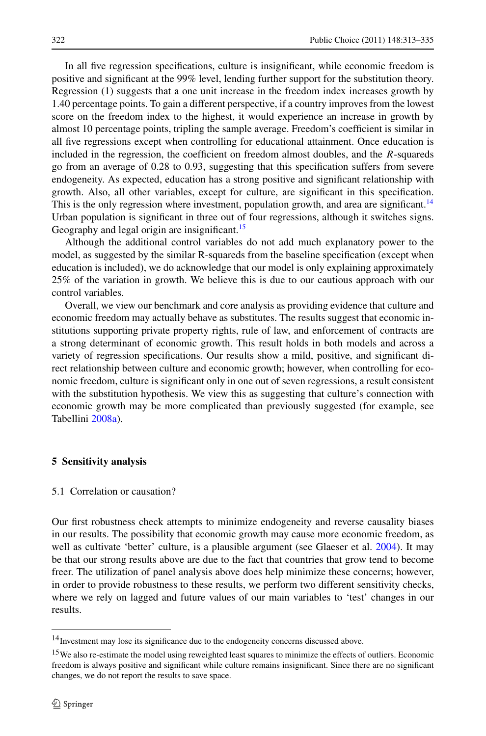In all five regression specifications, culture is insignificant, while economic freedom is positive and significant at the 99% level, lending further support for the substitution theory. Regression (1) suggests that a one unit increase in the freedom index increases growth by 1.40 percentage points. To gain a different perspective, if a country improves from the lowest score on the freedom index to the highest, it would experience an increase in growth by almost 10 percentage points, tripling the sample average. Freedom's coefficient is similar in all five regressions except when controlling for educational attainment. Once education is included in the regression, the coefficient on freedom almost doubles, and the *R*-squareds go from an average of 0.28 to 0.93, suggesting that this specification suffers from severe endogeneity. As expected, education has a strong positive and significant relationship with growth. Also, all other variables, except for culture, are significant in this specification. This is the only regression where investment, population growth, and area are significant.<sup>14</sup> Urban population is significant in three out of four regressions, although it switches signs. Geography and legal origin are insignificant.<sup>15</sup>

Although the additional control variables do not add much explanatory power to the model, as suggested by the similar R-squareds from the baseline specification (except when education is included), we do acknowledge that our model is only explaining approximately 25% of the variation in growth. We believe this is due to our cautious approach with our control variables.

Overall, we view our benchmark and core analysis as providing evidence that culture and economic freedom may actually behave as substitutes. The results suggest that economic institutions supporting private property rights, rule of law, and enforcement of contracts are a strong determinant of economic growth. This result holds in both models and across a variety of regression specifications. Our results show a mild, positive, and significant direct relationship between culture and economic growth; however, when controlling for economic freedom, culture is significant only in one out of seven regressions, a result consistent with the substitution hypothesis. We view this as suggesting that culture's connection with economic growth may be more complicated than previously suggested (for example, see Tabellini 2008a).

#### **5 Sensitivity analysis**

## 5.1 Correlation or causation?

Our first robustness check attempts to minimize endogeneity and reverse causality biases in our results. The possibility that economic growth may cause more economic freedom, as well as cultivate 'better' culture, is a plausible argument (see Glaeser et al. 2004). It may be that our strong results above are due to the fact that countries that grow tend to become freer. The utilization of panel analysis above does help minimize these concerns; however, in order to provide robustness to these results, we perform two different sensitivity checks, where we rely on lagged and future values of our main variables to 'test' changes in our results.

<sup>14</sup>Investment may lose its significance due to the endogeneity concerns discussed above.

<sup>&</sup>lt;sup>15</sup>We also re-estimate the model using reweighted least squares to minimize the effects of outliers. Economic freedom is always positive and significant while culture remains insignificant. Since there are no significant changes, we do not report the results to save space.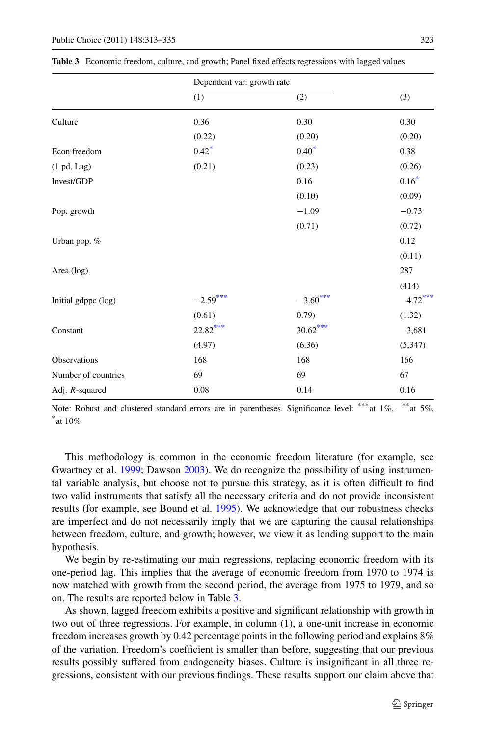|                     | Dependent var: growth rate |            |             |
|---------------------|----------------------------|------------|-------------|
|                     | (1)                        | (2)        | (3)         |
| Culture             | 0.36                       | 0.30       | 0.30        |
|                     | (0.22)                     | (0.20)     | (0.20)      |
| Econ freedom        | $0.42*$                    | $0.40*$    | 0.38        |
| $(1$ pd. Lag)       | (0.21)                     | (0.23)     | (0.26)      |
| Invest/GDP          |                            | 0.16       | $0.16*$     |
|                     |                            | (0.10)     | (0.09)      |
| Pop. growth         |                            | $-1.09$    | $-0.73$     |
|                     |                            | (0.71)     | (0.72)      |
| Urban pop. %        |                            |            | 0.12        |
|                     |                            |            | (0.11)      |
| Area (log)          |                            |            | 287         |
|                     |                            |            | (414)       |
| Initial gdppc (log) | $-2.59***$                 | $-3.60***$ | $-4.72$ *** |
|                     | (0.61)                     | 0.79)      | (1.32)      |
| Constant            | $22.82***$                 | $30.62***$ | $-3,681$    |
|                     | (4.97)                     | (6.36)     | (5, 347)    |
| Observations        | 168                        | 168        | 166         |
| Number of countries | 69                         | 69         | 67          |
| Adj. $R$ -squared   | 0.08                       | 0.14       | 0.16        |

**Table 3** Economic freedom, culture, and growth; Panel fixed effects regressions with lagged values

Note: Robust and clustered standard errors are in parentheses. Significance level: \*\*\* at 1%, \*\*at 5%,  $*$ at 10%

This methodology is common in the economic freedom literature (for example, see Gwartney et al. 1999; Dawson 2003). We do recognize the possibility of using instrumental variable analysis, but choose not to pursue this strategy, as it is often difficult to find two valid instruments that satisfy all the necessary criteria and do not provide inconsistent results (for example, see Bound et al. 1995). We acknowledge that our robustness checks are imperfect and do not necessarily imply that we are capturing the causal relationships between freedom, culture, and growth; however, we view it as lending support to the main hypothesis.

We begin by re-estimating our main regressions, replacing economic freedom with its one-period lag. This implies that the average of economic freedom from 1970 to 1974 is now matched with growth from the second period, the average from 1975 to 1979, and so on. The results are reported below in Table 3.

As shown, lagged freedom exhibits a positive and significant relationship with growth in two out of three regressions. For example, in column (1), a one-unit increase in economic freedom increases growth by 0.42 percentage points in the following period and explains 8% of the variation. Freedom's coefficient is smaller than before, suggesting that our previous results possibly suffered from endogeneity biases. Culture is insignificant in all three regressions, consistent with our previous findings. These results support our claim above that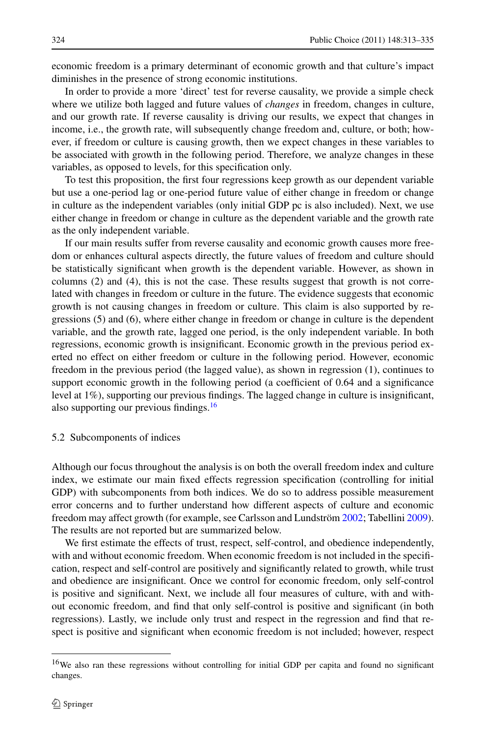economic freedom is a primary determinant of economic growth and that culture's impact diminishes in the presence of strong economic institutions.

In order to provide a more 'direct' test for reverse causality, we provide a simple check where we utilize both lagged and future values of *changes* in freedom, changes in culture, and our growth rate. If reverse causality is driving our results, we expect that changes in income, i.e., the growth rate, will subsequently change freedom and, culture, or both; however, if freedom or culture is causing growth, then we expect changes in these variables to be associated with growth in the following period. Therefore, we analyze changes in these variables, as opposed to levels, for this specification only.

To test this proposition, the first four regressions keep growth as our dependent variable but use a one-period lag or one-period future value of either change in freedom or change in culture as the independent variables (only initial GDP pc is also included). Next, we use either change in freedom or change in culture as the dependent variable and the growth rate as the only independent variable.

If our main results suffer from reverse causality and economic growth causes more freedom or enhances cultural aspects directly, the future values of freedom and culture should be statistically significant when growth is the dependent variable. However, as shown in columns (2) and (4), this is not the case. These results suggest that growth is not correlated with changes in freedom or culture in the future. The evidence suggests that economic growth is not causing changes in freedom or culture. This claim is also supported by regressions (5) and (6), where either change in freedom or change in culture is the dependent variable, and the growth rate, lagged one period, is the only independent variable. In both regressions, economic growth is insignificant. Economic growth in the previous period exerted no effect on either freedom or culture in the following period. However, economic freedom in the previous period (the lagged value), as shown in regression (1), continues to support economic growth in the following period (a coefficient of 0.64 and a significance level at 1%), supporting our previous findings. The lagged change in culture is insignificant, also supporting our previous findings.<sup>16</sup>

#### 5.2 Subcomponents of indices

Although our focus throughout the analysis is on both the overall freedom index and culture index, we estimate our main fixed effects regression specification (controlling for initial GDP) with subcomponents from both indices. We do so to address possible measurement error concerns and to further understand how different aspects of culture and economic freedom may affect growth (for example, see Carlsson and Lundström 2002; Tabellini 2009). The results are not reported but are summarized below.

We first estimate the effects of trust, respect, self-control, and obedience independently, with and without economic freedom. When economic freedom is not included in the specification, respect and self-control are positively and significantly related to growth, while trust and obedience are insignificant. Once we control for economic freedom, only self-control is positive and significant. Next, we include all four measures of culture, with and without economic freedom, and find that only self-control is positive and significant (in both regressions). Lastly, we include only trust and respect in the regression and find that respect is positive and significant when economic freedom is not included; however, respect

<sup>16</sup>We also ran these regressions without controlling for initial GDP per capita and found no significant changes.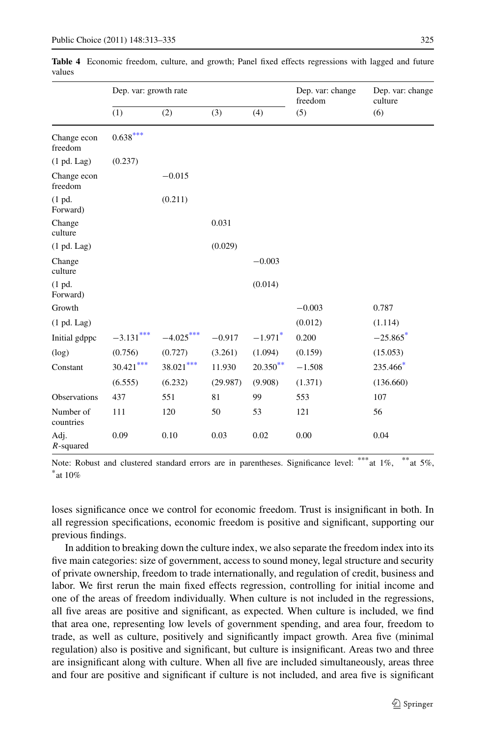values

|                        | Dep. var: growth rate |             |          |            | Dep. var: change<br>freedom | Dep. var: change<br>culture |
|------------------------|-----------------------|-------------|----------|------------|-----------------------------|-----------------------------|
|                        | (1)                   | (2)         | (3)      | (4)        | (5)                         | (6)                         |
| Change econ<br>freedom | $0.638***$            |             |          |            |                             |                             |
| $(1$ pd. Lag)          | (0.237)               |             |          |            |                             |                             |
| Change econ<br>freedom |                       | $-0.015$    |          |            |                             |                             |
| $(1$ pd.<br>Forward)   |                       | (0.211)     |          |            |                             |                             |
| Change<br>culture      |                       |             | 0.031    |            |                             |                             |
| $(1$ pd. Lag)          |                       |             | (0.029)  |            |                             |                             |
| Change<br>culture      |                       |             |          | $-0.003$   |                             |                             |
| $(1$ pd.<br>Forward)   |                       |             |          | (0.014)    |                             |                             |
| Growth                 |                       |             |          |            | $-0.003$                    | 0.787                       |
| $(1$ pd. Lag)          |                       |             |          |            | (0.012)                     | (1.114)                     |
| Initial gdppc          | $-3.131***$           | $-4.025***$ | $-0.917$ | $-1.971$ * | 0.200                       | $-25.865*$                  |
| (log)                  | (0.756)               | (0.727)     | (3.261)  | (1.094)    | (0.159)                     | (15.053)                    |
| Constant               | $30.421***$           | 38.021***   | 11.930   | $20.350**$ | $-1.508$                    | 235.466*                    |
|                        | (6.555)               | (6.232)     | (29.987) | (9.908)    | (1.371)                     | (136.660)                   |
| <b>Observations</b>    | 437                   | 551         | 81       | 99         | 553                         | 107                         |
| Number of<br>countries | 111                   | 120         | 50       | 53         | 121                         | 56                          |
| Adj.<br>$R$ -squared   | 0.09                  | 0.10        | 0.03     | 0.02       | 0.00                        | 0.04                        |

Note: Robust and clustered standard errors are in parentheses. Significance level: \*\*\* at 1%, \*\* at 5%,  $*$ at 10%

loses significance once we control for economic freedom. Trust is insignificant in both. In all regression specifications, economic freedom is positive and significant, supporting our previous findings.

In addition to breaking down the culture index, we also separate the freedom index into its five main categories: size of government, access to sound money, legal structure and security of private ownership, freedom to trade internationally, and regulation of credit, business and labor. We first rerun the main fixed effects regression, controlling for initial income and one of the areas of freedom individually. When culture is not included in the regressions, all five areas are positive and significant, as expected. When culture is included, we find that area one, representing low levels of government spending, and area four, freedom to trade, as well as culture, positively and significantly impact growth. Area five (minimal regulation) also is positive and significant, but culture is insignificant. Areas two and three are insignificant along with culture. When all five are included simultaneously, areas three and four are positive and significant if culture is not included, and area five is significant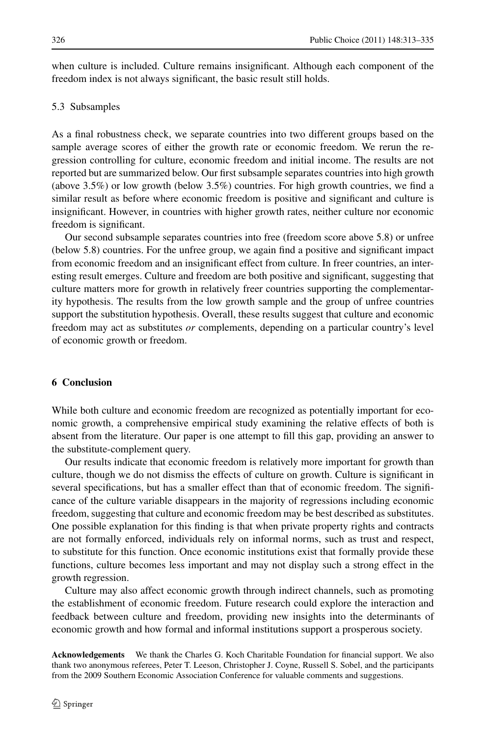when culture is included. Culture remains insignificant. Although each component of the freedom index is not always significant, the basic result still holds.

## 5.3 Subsamples

As a final robustness check, we separate countries into two different groups based on the sample average scores of either the growth rate or economic freedom. We rerun the regression controlling for culture, economic freedom and initial income. The results are not reported but are summarized below. Our first subsample separates countries into high growth (above 3.5%) or low growth (below 3.5%) countries. For high growth countries, we find a similar result as before where economic freedom is positive and significant and culture is insignificant. However, in countries with higher growth rates, neither culture nor economic freedom is significant.

Our second subsample separates countries into free (freedom score above 5.8) or unfree (below 5.8) countries. For the unfree group, we again find a positive and significant impact from economic freedom and an insignificant effect from culture. In freer countries, an interesting result emerges. Culture and freedom are both positive and significant, suggesting that culture matters more for growth in relatively freer countries supporting the complementarity hypothesis. The results from the low growth sample and the group of unfree countries support the substitution hypothesis. Overall, these results suggest that culture and economic freedom may act as substitutes *or* complements, depending on a particular country's level of economic growth or freedom.

## **6 Conclusion**

While both culture and economic freedom are recognized as potentially important for economic growth, a comprehensive empirical study examining the relative effects of both is absent from the literature. Our paper is one attempt to fill this gap, providing an answer to the substitute-complement query.

Our results indicate that economic freedom is relatively more important for growth than culture, though we do not dismiss the effects of culture on growth. Culture is significant in several specifications, but has a smaller effect than that of economic freedom. The significance of the culture variable disappears in the majority of regressions including economic freedom, suggesting that culture and economic freedom may be best described as substitutes. One possible explanation for this finding is that when private property rights and contracts are not formally enforced, individuals rely on informal norms, such as trust and respect, to substitute for this function. Once economic institutions exist that formally provide these functions, culture becomes less important and may not display such a strong effect in the growth regression.

Culture may also affect economic growth through indirect channels, such as promoting the establishment of economic freedom. Future research could explore the interaction and feedback between culture and freedom, providing new insights into the determinants of economic growth and how formal and informal institutions support a prosperous society.

**Acknowledgements** We thank the Charles G. Koch Charitable Foundation for financial support. We also thank two anonymous referees, Peter T. Leeson, Christopher J. Coyne, Russell S. Sobel, and the participants from the 2009 Southern Economic Association Conference for valuable comments and suggestions.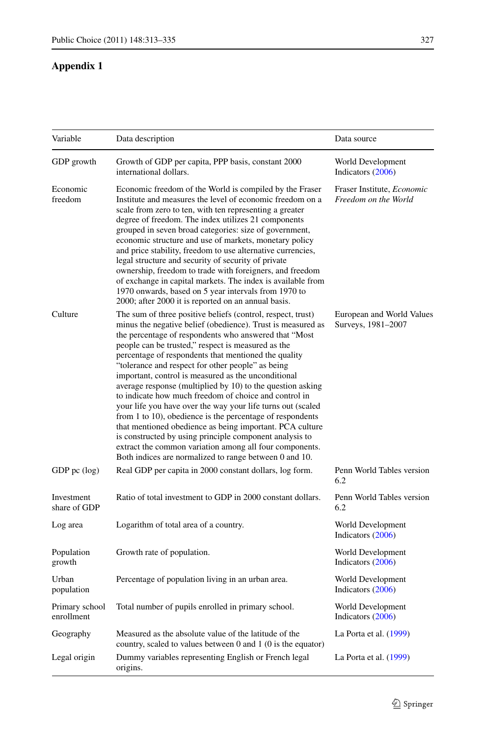# **Appendix 1**

| Variable                     | Data description                                                                                                                                                                                                                                                                                                                                                                                                                                                                                                                                                                                                                                                                                                                                                                                                                                                                                             | Data source                                               |
|------------------------------|--------------------------------------------------------------------------------------------------------------------------------------------------------------------------------------------------------------------------------------------------------------------------------------------------------------------------------------------------------------------------------------------------------------------------------------------------------------------------------------------------------------------------------------------------------------------------------------------------------------------------------------------------------------------------------------------------------------------------------------------------------------------------------------------------------------------------------------------------------------------------------------------------------------|-----------------------------------------------------------|
| GDP growth                   | Growth of GDP per capita, PPP basis, constant 2000<br>international dollars.                                                                                                                                                                                                                                                                                                                                                                                                                                                                                                                                                                                                                                                                                                                                                                                                                                 | World Development<br>Indicators (2006)                    |
| Economic<br>freedom          | Economic freedom of the World is compiled by the Fraser<br>Institute and measures the level of economic freedom on a<br>scale from zero to ten, with ten representing a greater<br>degree of freedom. The index utilizes 21 components<br>grouped in seven broad categories: size of government,<br>economic structure and use of markets, monetary policy<br>and price stability, freedom to use alternative currencies,<br>legal structure and security of security of private<br>ownership, freedom to trade with foreigners, and freedom<br>of exchange in capital markets. The index is available from<br>1970 onwards, based on 5 year intervals from 1970 to<br>2000; after 2000 it is reported on an annual basis.                                                                                                                                                                                   | Fraser Institute, <i>Economic</i><br>Freedom on the World |
| Culture                      | The sum of three positive beliefs (control, respect, trust)<br>minus the negative belief (obedience). Trust is measured as<br>the percentage of respondents who answered that "Most<br>people can be trusted," respect is measured as the<br>percentage of respondents that mentioned the quality<br>"tolerance and respect for other people" as being<br>important, control is measured as the unconditional<br>average response (multiplied by 10) to the question asking<br>to indicate how much freedom of choice and control in<br>your life you have over the way your life turns out (scaled<br>from 1 to 10), obedience is the percentage of respondents<br>that mentioned obedience as being important. PCA culture<br>is constructed by using principle component analysis to<br>extract the common variation among all four components.<br>Both indices are normalized to range between 0 and 10. | European and World Values<br>Surveys, 1981-2007           |
| GDP pc $(log)$               | Real GDP per capita in 2000 constant dollars, log form.                                                                                                                                                                                                                                                                                                                                                                                                                                                                                                                                                                                                                                                                                                                                                                                                                                                      | Penn World Tables version<br>6.2                          |
| Investment<br>share of GDP   | Ratio of total investment to GDP in 2000 constant dollars.                                                                                                                                                                                                                                                                                                                                                                                                                                                                                                                                                                                                                                                                                                                                                                                                                                                   | Penn World Tables version<br>6.2                          |
| Log area                     | Logarithm of total area of a country.                                                                                                                                                                                                                                                                                                                                                                                                                                                                                                                                                                                                                                                                                                                                                                                                                                                                        | World Development<br>Indicators (2006)                    |
| Population<br>growth         | Growth rate of population.                                                                                                                                                                                                                                                                                                                                                                                                                                                                                                                                                                                                                                                                                                                                                                                                                                                                                   | World Development<br>Indicators (2006)                    |
| Urban<br>population          | Percentage of population living in an urban area.                                                                                                                                                                                                                                                                                                                                                                                                                                                                                                                                                                                                                                                                                                                                                                                                                                                            | World Development<br>Indicators (2006)                    |
| Primary school<br>enrollment | Total number of pupils enrolled in primary school.                                                                                                                                                                                                                                                                                                                                                                                                                                                                                                                                                                                                                                                                                                                                                                                                                                                           | World Development<br>Indicators (2006)                    |
| Geography                    | Measured as the absolute value of the latitude of the<br>country, scaled to values between 0 and 1 (0 is the equator)                                                                                                                                                                                                                                                                                                                                                                                                                                                                                                                                                                                                                                                                                                                                                                                        | La Porta et al. $(1999)$                                  |
| Legal origin                 | Dummy variables representing English or French legal<br>origins.                                                                                                                                                                                                                                                                                                                                                                                                                                                                                                                                                                                                                                                                                                                                                                                                                                             | La Porta et al. $(1999)$                                  |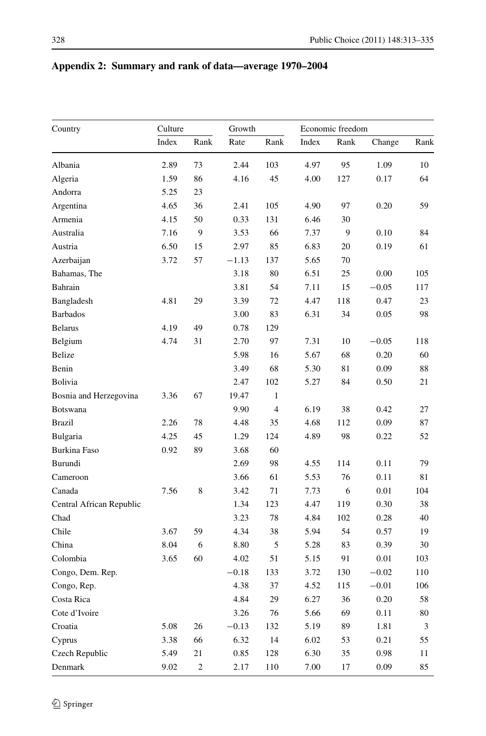| Country                  | Culture |                | Growth  |                |       | Economic freedom |         |      |
|--------------------------|---------|----------------|---------|----------------|-------|------------------|---------|------|
|                          | Index   | Rank           | Rate    | Rank           | Index | Rank             | Change  | Rank |
| Albania                  | 2.89    | 73             | 2.44    | 103            | 4.97  | 95               | 1.09    | 10   |
| Algeria                  | 1.59    | 86             | 4.16    | 45             | 4.00  | 127              | 0.17    | 64   |
| Andorra                  | 5.25    | 23             |         |                |       |                  |         |      |
| Argentina                | 4.65    | 36             | 2.41    | 105            | 4.90  | 97               | 0.20    | 59   |
| Armenia                  | 4.15    | 50             | 0.33    | 131            | 6.46  | 30               |         |      |
| Australia                | 7.16    | 9              | 3.53    | 66             | 7.37  | 9                | 0.10    | 84   |
| Austria                  | 6.50    | 15             | 2.97    | 85             | 6.83  | 20               | 0.19    | 61   |
| Azerbaijan               | 3.72    | 57             | $-1.13$ | 137            | 5.65  | 70               |         |      |
| Bahamas, The             |         |                | 3.18    | 80             | 6.51  | 25               | 0.00    | 105  |
| Bahrain                  |         |                | 3.81    | 54             | 7.11  | 15               | $-0.05$ | 117  |
| Bangladesh               | 4.81    | 29             | 3.39    | 72             | 4.47  | 118              | 0.47    | 23   |
| <b>Barbados</b>          |         |                | 3.00    | 83             | 6.31  | 34               | 0.05    | 98   |
| <b>Belarus</b>           | 4.19    | 49             | 0.78    | 129            |       |                  |         |      |
| Belgium                  | 4.74    | 31             | 2.70    | 97             | 7.31  | 10               | $-0.05$ | 118  |
| <b>Belize</b>            |         |                | 5.98    | 16             | 5.67  | 68               | 0.20    | 60   |
| Benin                    |         |                | 3.49    | 68             | 5.30  | 81               | 0.09    | 88   |
| <b>Bolivia</b>           |         |                | 2.47    | 102            | 5.27  | 84               | 0.50    | 21   |
| Bosnia and Herzegovina   | 3.36    | 67             | 19.47   | $\mathbf{1}$   |       |                  |         |      |
| Botswana                 |         |                | 9.90    | $\overline{4}$ | 6.19  | 38               | 0.42    | 27   |
| <b>Brazil</b>            | 2.26    | 78             | 4.48    | 35             | 4.68  | 112              | 0.09    | 87   |
| Bulgaria                 | 4.25    | 45             | 1.29    | 124            | 4.89  | 98               | 0.22    | 52   |
| Burkina Faso             | 0.92    | 89             | 3.68    | 60             |       |                  |         |      |
| Burundi                  |         |                | 2.69    | 98             | 4.55  | 114              | 0.11    | 79   |
| Cameroon                 |         |                | 3.66    | 61             | 5.53  | 76               | 0.11    | 81   |
| Canada                   | 7.56    | 8              | 3.42    | 71             | 7.73  | 6                | 0.01    | 104  |
| Central African Republic |         |                | 1.34    | 123            | 4.47  | 119              | 0.30    | 38   |
| Chad                     |         |                | 3.23    | 78             | 4.84  | 102              | 0.28    | 40   |
| Chile                    | 3.67    | 59             | 4.34    | 38             | 5.94  | 54               | 0.57    | 19   |
| China                    | 8.04    | 6              | 8.80    | 5              | 5.28  | 83               | 0.39    | 30   |
| Colombia                 | 3.65    | 60             | 4.02    | 51             | 5.15  | 91               | 0.01    | 103  |
| Congo, Dem. Rep.         |         |                | $-0.18$ | 133            | 3.72  | 130              | $-0.02$ | 110  |
| Congo, Rep.              |         |                | 4.38    | 37             | 4.52  | 115              | $-0.01$ | 106  |
| Costa Rica               |         |                | 4.84    | 29             | 6.27  | 36               | 0.20    | 58   |
| Cote d'Ivoire            |         |                | 3.26    | 76             | 5.66  | 69               | 0.11    | 80   |
| Croatia                  | 5.08    | 26             | $-0.13$ | 132            | 5.19  | 89               | 1.81    | 3    |
| Cyprus                   | 3.38    | 66             | 6.32    | 14             | 6.02  | 53               | 0.21    | 55   |
| <b>Czech Republic</b>    | 5.49    | 21             | 0.85    | 128            | 6.30  | 35               | 0.98    | 11   |
| Denmark                  | 9.02    | $\overline{2}$ | 2.17    | 110            | 7.00  | 17               | 0.09    | 85   |

## **Appendix 2: Summary and rank of data—average 1970–2004**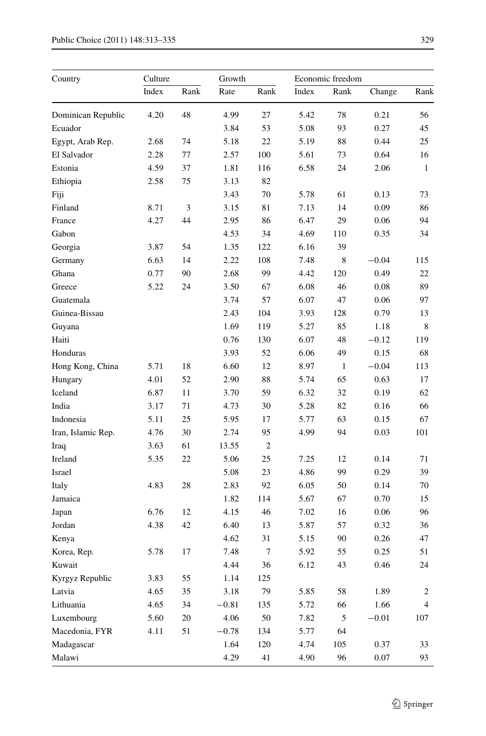| Country                                              | Culture      |                | Growth                          |                        |                              | Economic freedom     |                         |                 |
|------------------------------------------------------|--------------|----------------|---------------------------------|------------------------|------------------------------|----------------------|-------------------------|-----------------|
|                                                      | Index        | Rank           | Rate                            | Rank                   | Index                        | Rank                 | Change                  | Rank            |
| Dominican Republic                                   | 4.20         | 48             | 4.99                            | 27                     | 5.42                         | 78                   | 0.21                    | 56              |
| Ecuador                                              |              |                | 3.84                            | 53                     | 5.08                         | 93                   | 0.27                    | 45              |
| Egypt, Arab Rep.                                     | 2.68         | 74             | 5.18                            | 22                     | 5.19                         | 88                   | 0.44                    | 25              |
| El Salvador                                          | 2.28         | 77             | 2.57                            | 100                    | 5.61                         | 73                   | 0.64                    | 16              |
| Estonia                                              | 4.59         | 37             | 1.81                            | 116                    | 6.58                         | 24                   | 2.06                    | 1               |
| Ethiopia                                             | 2.58         | 75             | 3.13                            | 82                     |                              |                      |                         |                 |
| Fiji                                                 |              |                | 3.43                            | 70                     | 5.78                         | 61                   | 0.13                    | 73              |
| Finland                                              | 8.71         | $\mathfrak{Z}$ | 3.15                            | 81                     | 7.13                         | 14                   | 0.09                    | 86              |
| France                                               | 4.27         | 44             | 2.95                            | 86                     | 6.47                         | 29                   | 0.06                    | 94              |
| Gabon                                                |              |                | 4.53                            | 34                     | 4.69                         | 110                  | 0.35                    | 34              |
| Georgia                                              | 3.87         | 54             | 1.35                            | 122                    | 6.16                         | 39                   |                         |                 |
| Germany                                              | 6.63         | 14             | 2.22                            | 108                    | 7.48                         | 8                    | $-0.04$                 | 115             |
| Ghana                                                | 0.77         | 90             | 2.68                            | 99                     | 4.42                         | 120                  | 0.49                    | 22              |
| Greece                                               | 5.22         | 24             | 3.50                            | 67                     | 6.08                         | 46                   | 0.08                    | 89              |
| Guatemala                                            |              |                | 3.74                            | 57                     | 6.07                         | 47                   | 0.06                    | 97              |
| Guinea-Bissau                                        |              |                | 2.43                            | 104                    | 3.93                         | 128                  | 0.79                    | 13              |
| Guyana                                               |              |                | 1.69                            | 119                    | 5.27                         | 85                   | 1.18                    | 8               |
| Haiti                                                |              |                | 0.76                            | 130                    | 6.07                         | 48                   | $-0.12$                 | 119             |
| Honduras                                             |              |                | 3.93                            | 52                     | 6.06                         | 49                   | 0.15                    | 68              |
| Hong Kong, China                                     | 5.71         | 18             | 6.60                            | 12                     | 8.97                         | $\mathbf{1}$         | $-0.04$                 | 113             |
| Hungary                                              | 4.01         | 52             | 2.90                            | 88                     | 5.74                         | 65                   | 0.63                    | 17              |
| Iceland                                              | 6.87         | 11             | 3.70                            | 59                     | 6.32                         | 32                   | 0.19                    | 62              |
| India                                                | 3.17         | 71             | 4.73                            | 30                     | 5.28                         | 82                   | 0.16                    | 66              |
| Indonesia                                            | 5.11         | 25             | 5.95                            | 17                     | 5.77                         | 63                   | 0.15                    | 67              |
| Iran, Islamic Rep.                                   | 4.76         | 30             | 2.74                            | 95                     | 4.99                         | 94                   | 0.03                    | 101             |
| Iraq                                                 | 3.63         | 61             | 13.55                           | $\sqrt{2}$             |                              |                      |                         |                 |
| Ireland                                              | 5.35         | 22             | 5.06                            | 25                     | 7.25                         | 12                   | 0.14                    | 71              |
| Israel                                               |              |                | 5.08                            | 23                     | 4.86                         | 99                   | 0.29                    | 39              |
| Italy                                                | 4.83         | 28             | 2.83                            | 92                     | 6.05                         | 50                   | 0.14                    | 70              |
| Jamaica                                              |              |                | 1.82                            | 114                    | 5.67                         | 67                   | 0.70                    | 15              |
| Japan                                                | 6.76         | 12             | 4.15                            | 46                     | 7.02                         | 16                   | 0.06                    | 96              |
| Jordan                                               | 4.38         | 42             | 6.40                            | 13                     | 5.87                         | 57                   | 0.32                    | 36              |
| Kenya                                                |              |                | 4.62                            | 31                     | 5.15                         | 90                   | 0.26                    | 47              |
| Korea, Rep.                                          | 5.78         | 17             | 7.48                            | $\tau$                 | 5.92                         | 55                   | 0.25                    | 51              |
| Kuwait                                               |              |                | 4.44                            | $36\,$                 | 6.12                         | 43                   | 0.46                    | 24              |
| Kyrgyz Republic                                      | 3.83         | 55             | 1.14                            | 125                    |                              |                      |                         |                 |
| Latvia                                               | 4.65         | 35             | 3.18                            | 79                     | 5.85                         | 58                   | 1.89                    | 2               |
| Lithuania                                            | 4.65         | 34             | $-0.81$                         | 135                    | 5.72                         | 66                   | 1.66                    | 4               |
|                                                      |              |                |                                 |                        |                              |                      |                         |                 |
|                                                      |              |                |                                 |                        |                              |                      |                         |                 |
|                                                      |              |                |                                 |                        |                              |                      |                         |                 |
|                                                      |              |                |                                 |                        |                              |                      |                         |                 |
| Luxembourg<br>Macedonia, FYR<br>Madagascar<br>Malawi | 5.60<br>4.11 | 20<br>51       | 4.06<br>$-0.78$<br>1.64<br>4.29 | 50<br>134<br>120<br>41 | 7.82<br>5.77<br>4.74<br>4.90 | 5<br>64<br>105<br>96 | $-0.01$<br>0.37<br>0.07 | 107<br>33<br>93 |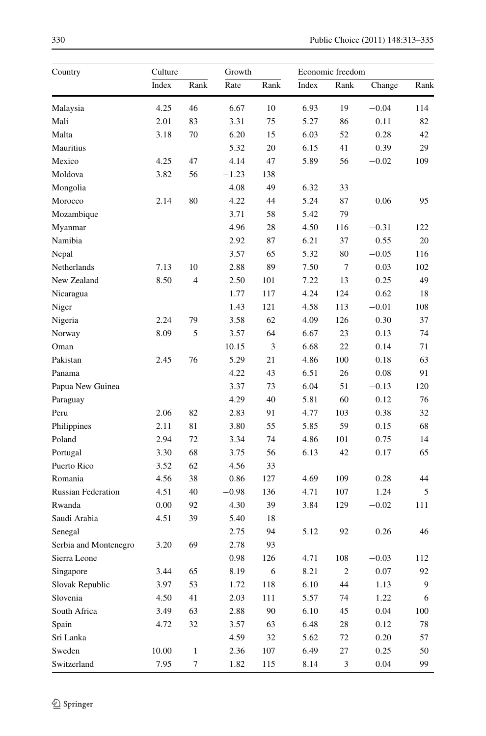| Country                   | Culture |                | Growth  |                |       | Economic freedom |         |      |
|---------------------------|---------|----------------|---------|----------------|-------|------------------|---------|------|
|                           | Index   | Rank           | Rate    | Rank           | Index | Rank             | Change  | Rank |
| Malaysia                  | 4.25    | 46             | 6.67    | 10             | 6.93  | 19               | $-0.04$ | 114  |
| Mali                      | 2.01    | 83             | 3.31    | 75             | 5.27  | 86               | 0.11    | 82   |
| Malta                     | 3.18    | 70             | 6.20    | 15             | 6.03  | 52               | 0.28    | 42   |
| Mauritius                 |         |                | 5.32    | 20             | 6.15  | 41               | 0.39    | 29   |
| Mexico                    | 4.25    | 47             | 4.14    | 47             | 5.89  | 56               | $-0.02$ | 109  |
| Moldova                   | 3.82    | 56             | $-1.23$ | 138            |       |                  |         |      |
| Mongolia                  |         |                | 4.08    | 49             | 6.32  | 33               |         |      |
| Morocco                   | 2.14    | 80             | 4.22    | 44             | 5.24  | 87               | 0.06    | 95   |
| Mozambique                |         |                | 3.71    | 58             | 5.42  | 79               |         |      |
| Myanmar                   |         |                | 4.96    | 28             | 4.50  | 116              | $-0.31$ | 122  |
| Namibia                   |         |                | 2.92    | 87             | 6.21  | 37               | 0.55    | 20   |
| Nepal                     |         |                | 3.57    | 65             | 5.32  | 80               | $-0.05$ | 116  |
| Netherlands               | 7.13    | 10             | 2.88    | 89             | 7.50  | 7                | 0.03    | 102  |
| New Zealand               | 8.50    | $\overline{4}$ | 2.50    | 101            | 7.22  | 13               | 0.25    | 49   |
| Nicaragua                 |         |                | 1.77    | 117            | 4.24  | 124              | 0.62    | 18   |
| Niger                     |         |                | 1.43    | 121            | 4.58  | 113              | $-0.01$ | 108  |
| Nigeria                   | 2.24    | 79             | 3.58    | 62             | 4.09  | 126              | 0.30    | 37   |
| Norway                    | 8.09    | 5              | 3.57    | 64             | 6.67  | 23               | 0.13    | 74   |
| Oman                      |         |                | 10.15   | $\mathfrak{Z}$ | 6.68  | 22               | 0.14    | 71   |
| Pakistan                  | 2.45    | 76             | 5.29    | 21             | 4.86  | 100              | 0.18    | 63   |
| Panama                    |         |                | 4.22    | 43             | 6.51  | 26               | 0.08    | 91   |
| Papua New Guinea          |         |                | 3.37    | 73             | 6.04  | 51               | $-0.13$ | 120  |
| Paraguay                  |         |                | 4.29    | 40             | 5.81  | 60               | 0.12    | 76   |
| Peru                      | 2.06    | 82             | 2.83    | 91             | 4.77  | 103              | 0.38    | 32   |
| Philippines               | 2.11    | 81             | 3.80    | 55             | 5.85  | 59               | 0.15    | 68   |
| Poland                    | 2.94    | 72             | 3.34    | 74             | 4.86  | 101              | 0.75    | 14   |
| Portugal                  | 3.30    | 68             | 3.75    | 56             | 6.13  | 42               | 0.17    | 65   |
| Puerto Rico               | 3.52    | 62             | 4.56    | 33             |       |                  |         |      |
| Romania                   | 4.56    | 38             | 0.86    | 127            | 4.69  | 109              | 0.28    | 44   |
| <b>Russian Federation</b> | 4.51    | 40             | $-0.98$ | 136            | 4.71  | 107              | 1.24    | 5    |
| Rwanda                    | 0.00    | 92             | 4.30    | 39             | 3.84  | 129              | $-0.02$ | 111  |
| Saudi Arabia              | 4.51    | 39             | 5.40    | 18             |       |                  |         |      |
| Senegal                   |         |                | 2.75    | 94             | 5.12  | 92               | 0.26    | 46   |
| Serbia and Montenegro     | 3.20    | 69             | 2.78    | 93             |       |                  |         |      |
| Sierra Leone              |         |                | 0.98    | 126            | 4.71  | 108              | 0.03    | 112  |
| Singapore                 | 3.44    | 65             | 8.19    | 6              | 8.21  | $\overline{c}$   | 0.07    | 92   |
| Slovak Republic           | 3.97    | 53             | 1.72    | 118            | 6.10  | 44               | 1.13    | 9    |
| Slovenia                  | 4.50    | 41             | 2.03    | 111            | 5.57  | 74               | 1.22    | 6    |
| South Africa              | 3.49    | 63             | 2.88    | 90             | 6.10  | 45               | 0.04    | 100  |
| Spain                     | 4.72    | 32             | 3.57    | 63             | 6.48  | 28               | 0.12    | 78   |
| Sri Lanka                 |         |                | 4.59    | 32             | 5.62  | 72               | 0.20    | 57   |
| Sweden                    | 10.00   | $\,1$          | 2.36    | 107            | 6.49  | 27               | 0.25    | 50   |
| Switzerland               | 7.95    | 7              | 1.82    | 115            | 8.14  | $\mathfrak{Z}$   | 0.04    | 99   |
|                           |         |                |         |                |       |                  |         |      |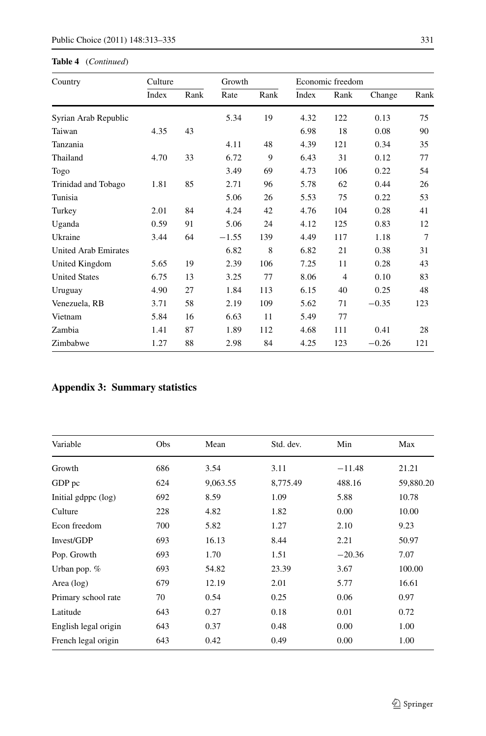## **Table 4** (*Continued*)

| Country                     | Culture |      | Growth  |      |       | Economic freedom |         |      |
|-----------------------------|---------|------|---------|------|-------|------------------|---------|------|
|                             | Index   | Rank | Rate    | Rank | Index | Rank             | Change  | Rank |
| Syrian Arab Republic        |         |      | 5.34    | 19   | 4.32  | 122              | 0.13    | 75   |
| Taiwan                      | 4.35    | 43   |         |      | 6.98  | 18               | 0.08    | 90   |
| Tanzania                    |         |      | 4.11    | 48   | 4.39  | 121              | 0.34    | 35   |
| Thailand                    | 4.70    | 33   | 6.72    | 9    | 6.43  | 31               | 0.12    | 77   |
| Togo                        |         |      | 3.49    | 69   | 4.73  | 106              | 0.22    | 54   |
| Trinidad and Tobago         | 1.81    | 85   | 2.71    | 96   | 5.78  | 62               | 0.44    | 26   |
| Tunisia                     |         |      | 5.06    | 26   | 5.53  | 75               | 0.22    | 53   |
| Turkey                      | 2.01    | 84   | 4.24    | 42   | 4.76  | 104              | 0.28    | 41   |
| Uganda                      | 0.59    | 91   | 5.06    | 24   | 4.12  | 125              | 0.83    | 12   |
| Ukraine                     | 3.44    | 64   | $-1.55$ | 139  | 4.49  | 117              | 1.18    | 7    |
| <b>United Arab Emirates</b> |         |      | 6.82    | 8    | 6.82  | 21               | 0.38    | 31   |
| United Kingdom              | 5.65    | 19   | 2.39    | 106  | 7.25  | 11               | 0.28    | 43   |
| <b>United States</b>        | 6.75    | 13   | 3.25    | 77   | 8.06  | $\overline{4}$   | 0.10    | 83   |
| Uruguay                     | 4.90    | 27   | 1.84    | 113  | 6.15  | 40               | 0.25    | 48   |
| Venezuela, RB               | 3.71    | 58   | 2.19    | 109  | 5.62  | 71               | $-0.35$ | 123  |
| Vietnam                     | 5.84    | 16   | 6.63    | 11   | 5.49  | 77               |         |      |
| Zambia                      | 1.41    | 87   | 1.89    | 112  | 4.68  | 111              | 0.41    | 28   |
| Zimbabwe                    | 1.27    | 88   | 2.98    | 84   | 4.25  | 123              | $-0.26$ | 121  |

## **Appendix 3: Summary statistics**

| Variable             | Obs | Mean     | Std. dev. | Min      | Max       |
|----------------------|-----|----------|-----------|----------|-----------|
| Growth               | 686 | 3.54     | 3.11      | $-11.48$ | 21.21     |
| GDP pc               | 624 | 9,063.55 | 8,775.49  | 488.16   | 59,880.20 |
| Initial gdppc (log)  | 692 | 8.59     | 1.09      | 5.88     | 10.78     |
| Culture              | 228 | 4.82     | 1.82      | 0.00     | 10.00     |
| Econ freedom         | 700 | 5.82     | 1.27      | 2.10     | 9.23      |
| Invest/GDP           | 693 | 16.13    | 8.44      | 2.21     | 50.97     |
| Pop. Growth          | 693 | 1.70     | 1.51      | $-20.36$ | 7.07      |
| Urban pop. $%$       | 693 | 54.82    | 23.39     | 3.67     | 100.00    |
| Area $(log)$         | 679 | 12.19    | 2.01      | 5.77     | 16.61     |
| Primary school rate  | 70  | 0.54     | 0.25      | 0.06     | 0.97      |
| Latitude             | 643 | 0.27     | 0.18      | 0.01     | 0.72      |
| English legal origin | 643 | 0.37     | 0.48      | 0.00     | 1.00      |
| French legal origin  | 643 | 0.42     | 0.49      | 0.00     | 1.00      |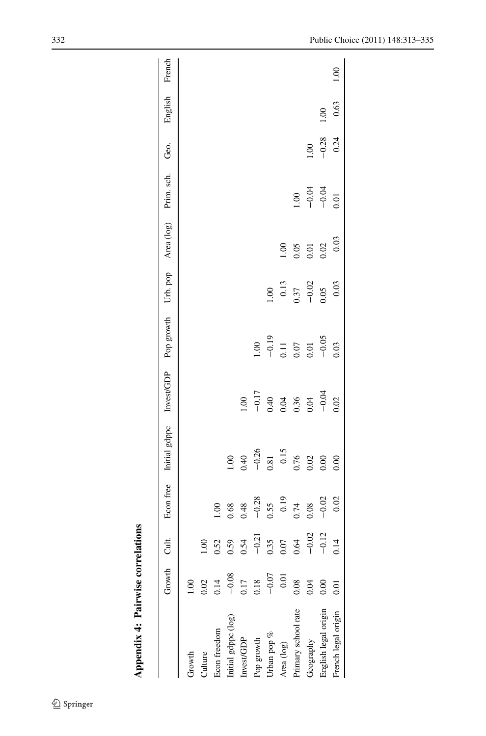| Appendix 4: Pairwise correlations |         |                |         |                                                                              |                |                                 |                                                                       |         |         |         |         |        |
|-----------------------------------|---------|----------------|---------|------------------------------------------------------------------------------|----------------|---------------------------------|-----------------------------------------------------------------------|---------|---------|---------|---------|--------|
|                                   | Growth  | Cult.          |         | Econ free Initial gdppc Invest/GDP Pop growth Urb. pop Area (log) Prim. sch. |                |                                 |                                                                       |         |         | Geo.    | English | French |
| Growth                            |         |                |         |                                                                              |                |                                 |                                                                       |         |         |         |         |        |
| Culture                           | 0.02    | $\overline{0}$ |         |                                                                              |                |                                 |                                                                       |         |         |         |         |        |
| Econ freedom                      | 0.14    | 52             | 1.00    |                                                                              |                |                                 |                                                                       |         |         |         |         |        |
| Initial gdppc (log)               | $-0.08$ | 0.59           | 0.68    |                                                                              |                |                                 |                                                                       |         |         |         |         |        |
| Invest/GDP                        | 0.17    | 0.54           | 0.48    | $1.00$<br>0.40                                                               | 00.1           |                                 |                                                                       |         |         |         |         |        |
| Pop growth                        | 0.18    | $-0.21$        | $-0.28$ | $-0.26$                                                                      | $-0.17$        | 0.001                           |                                                                       |         |         |         |         |        |
| Urban pop <sup>q</sup>            | $-0.07$ | 0.35           | 0.55    | 0.81                                                                         |                |                                 |                                                                       |         |         |         |         |        |
| Area (log)                        | $-0.01$ | 0.07           | $-0.19$ | $-0.15$                                                                      | $0.40$<br>0.04 | $-0.19$<br>0.07<br>0.07<br>0.01 |                                                                       | 00.1    |         |         |         |        |
| Primary school rate               | 0.08    | 0.64           | 0.74    | $0.76$<br>$0.02$                                                             | 0.36           |                                 |                                                                       | 0.05    | 00      |         |         |        |
| Geography                         | 0.04    | $-0.02$        | 0.08    |                                                                              | 0.04           |                                 | $\begin{array}{c} 1.00 \\ -0.13 \\ 0.37 \\ -0.02 \\ 0.95 \end{array}$ | 0.01    | $-0.04$ | 0.00    |         |        |
| English legal origin              | 0.00    | $-0.12$        | $-0.02$ | 0.00                                                                         | $-0.04$        | $-0.05$                         |                                                                       | 0.02    |         | $-0.28$ | 00.1    |        |
| French legal origin               | 0.01    | 0.14           | $-0.02$ | 0.00                                                                         | 0.02           | 0.03                            | $-0.03$                                                               | $-0.03$ | 0.01    | $-0.24$ | $-0.63$ | 1.00   |
|                                   |         |                |         |                                                                              |                |                                 |                                                                       |         |         |         |         |        |

Appendix 4: Pairwise correlations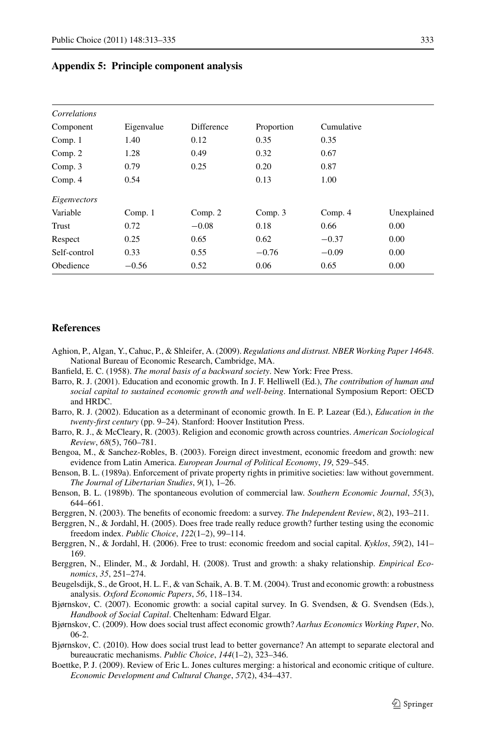| Correlations |            |            |            |            |             |
|--------------|------------|------------|------------|------------|-------------|
| Component    | Eigenvalue | Difference | Proportion | Cumulative |             |
| Comp. 1      | 1.40       | 0.12       | 0.35       | 0.35       |             |
| Comp. 2      | 1.28       | 0.49       | 0.32       | 0.67       |             |
| Comp. 3      | 0.79       | 0.25       | 0.20       | 0.87       |             |
| Comp. 4      | 0.54       |            | 0.13       | 1.00       |             |
| Eigenvectors |            |            |            |            |             |
| Variable     | Comp. $1$  | Comp. $2$  | Comp. 3    | Comp. 4    | Unexplained |
| Trust        | 0.72       | $-0.08$    | 0.18       | 0.66       | 0.00        |
| Respect      | 0.25       | 0.65       | 0.62       | $-0.37$    | 0.00        |
| Self-control | 0.33       | 0.55       | $-0.76$    | $-0.09$    | 0.00        |
| Obedience    | $-0.56$    | 0.52       | 0.06       | 0.65       | 0.00        |

## **Appendix 5: Principle component analysis**

#### **References**

- Aghion, P., Algan, Y., Cahuc, P., & Shleifer, A. (2009). *Regulations and distrust. NBER Working Paper 14648*. National Bureau of Economic Research, Cambridge, MA.
- Banfield, E. C. (1958). *The moral basis of a backward society*. New York: Free Press.
- Barro, R. J. (2001). Education and economic growth. In J. F. Helliwell (Ed.), *The contribution of human and social capital to sustained economic growth and well-being*. International Symposium Report: OECD and HRDC.
- Barro, R. J. (2002). Education as a determinant of economic growth. In E. P. Lazear (Ed.), *Education in the twenty-first century* (pp. 9–24). Stanford: Hoover Institution Press.
- Barro, R. J., & McCleary, R. (2003). Religion and economic growth across countries. *American Sociological Review*, *68*(5), 760–781.
- Bengoa, M., & Sanchez-Robles, B. (2003). Foreign direct investment, economic freedom and growth: new evidence from Latin America. *European Journal of Political Economy*, *19*, 529–545.
- Benson, B. L. (1989a). Enforcement of private property rights in primitive societies: law without government. *The Journal of Libertarian Studies*, *9*(1), 1–26.
- Benson, B. L. (1989b). The spontaneous evolution of commercial law. *Southern Economic Journal*, *55*(3), 644–661.
- Berggren, N. (2003). The benefits of economic freedom: a survey. *The Independent Review*, *8*(2), 193–211.
- Berggren, N., & Jordahl, H. (2005). Does free trade really reduce growth? further testing using the economic freedom index. *Public Choice*, *122*(1–2), 99–114.
- Berggren, N., & Jordahl, H. (2006). Free to trust: economic freedom and social capital. *Kyklos*, *59*(2), 141– 169.
- Berggren, N., Elinder, M., & Jordahl, H. (2008). Trust and growth: a shaky relationship. *Empirical Economics*, *35*, 251–274.

Beugelsdijk, S., de Groot, H. L. F., & van Schaik, A. B. T. M. (2004). Trust and economic growth: a robustness analysis. *Oxford Economic Papers*, *56*, 118–134.

- Bjørnskov, C. (2007). Economic growth: a social capital survey. In G. Svendsen, & G. Svendsen (Eds.), *Handbook of Social Capital*. Cheltenham: Edward Elgar.
- Bjørnskov, C. (2009). How does social trust affect economic growth? *Aarhus Economics Working Paper*, No. 06-2.
- Bjørnskov, C. (2010). How does social trust lead to better governance? An attempt to separate electoral and bureaucratic mechanisms. *Public Choice*, *144*(1–2), 323–346.
- Boettke, P. J. (2009). Review of Eric L. Jones cultures merging: a historical and economic critique of culture. *Economic Development and Cultural Change*, *57*(2), 434–437.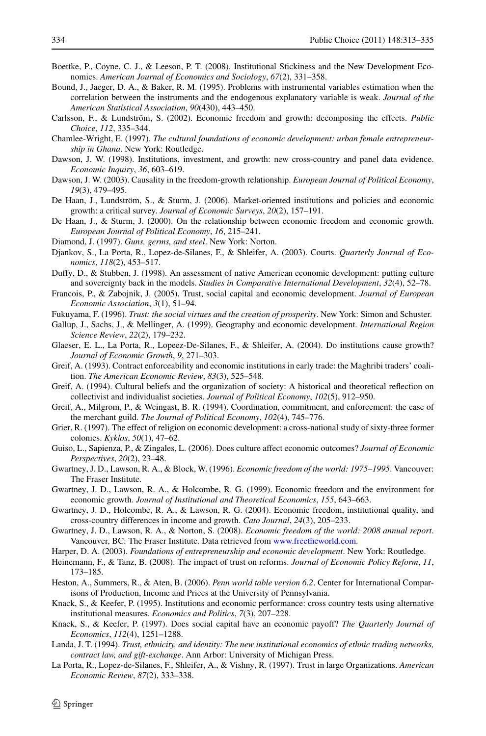- Boettke, P., Coyne, C. J., & Leeson, P. T. (2008). Institutional Stickiness and the New Development Economics. *American Journal of Economics and Sociology*, *67*(2), 331–358.
- Bound, J., Jaeger, D. A., & Baker, R. M. (1995). Problems with instrumental variables estimation when the correlation between the instruments and the endogenous explanatory variable is weak. *Journal of the American Statistical Association*, *90*(430), 443–450.
- Carlsson, F., & Lundström, S. (2002). Economic freedom and growth: decomposing the effects. *Public Choice*, *112*, 335–344.
- Chamlee-Wright, E. (1997). *The cultural foundations of economic development: urban female entrepreneurship in Ghana*. New York: Routledge.
- Dawson, J. W. (1998). Institutions, investment, and growth: new cross-country and panel data evidence. *Economic Inquiry*, *36*, 603–619.
- Dawson, J. W. (2003). Causality in the freedom-growth relationship. *European Journal of Political Economy*, *19*(3), 479–495.
- De Haan, J., Lundström, S., & Sturm, J. (2006). Market-oriented institutions and policies and economic growth: a critical survey. *Journal of Economic Surveys*, *20*(2), 157–191.
- De Haan, J., & Sturm, J. (2000). On the relationship between economic freedom and economic growth. *European Journal of Political Economy*, *16*, 215–241.

Diamond, J. (1997). *Guns, germs, and steel*. New York: Norton.

- Djankov, S., La Porta, R., Lopez-de-Silanes, F., & Shleifer, A. (2003). Courts. *Quarterly Journal of Economics*, *118*(2), 453–517.
- Duffy, D., & Stubben, J. (1998). An assessment of native American economic development: putting culture and sovereignty back in the models. *Studies in Comparative International Development*, *32*(4), 52–78.
- Francois, P., & Zabojnik, J. (2005). Trust, social capital and economic development. *Journal of European Economic Association*, *3*(1), 51–94.
- Fukuyama, F. (1996). *Trust: the social virtues and the creation of prosperity*. New York: Simon and Schuster.
- Gallup, J., Sachs, J., & Mellinger, A. (1999). Geography and economic development. *International Region Science Review*, *22*(2), 179–232.
- Glaeser, E. L., La Porta, R., Lopeez-De-Silanes, F., & Shleifer, A. (2004). Do institutions cause growth? *Journal of Economic Growth*, *9*, 271–303.
- Greif, A. (1993). Contract enforceability and economic institutions in early trade: the Maghribi traders' coalition. *The American Economic Review*, *83*(3), 525–548.
- Greif, A. (1994). Cultural beliefs and the organization of society: A historical and theoretical reflection on collectivist and individualist societies. *Journal of Political Economy*, *102*(5), 912–950.
- Greif, A., Milgrom, P., & Weingast, B. R. (1994). Coordination, commitment, and enforcement: the case of the merchant guild. *The Journal of Political Economy*, *102*(4), 745–776.
- Grier, R. (1997). The effect of religion on economic development: a cross-national study of sixty-three former colonies. *Kyklos*, *50*(1), 47–62.
- Guiso, L., Sapienza, P., & Zingales, L. (2006). Does culture affect economic outcomes? *Journal of Economic Perspectives*, *20*(2), 23–48.
- Gwartney, J. D., Lawson, R. A., & Block, W. (1996). *Economic freedom of the world: 1975–1995*. Vancouver: The Fraser Institute.
- Gwartney, J. D., Lawson, R. A., & Holcombe, R. G. (1999). Economic freedom and the environment for economic growth. *Journal of Institutional and Theoretical Economics*, *155*, 643–663.
- Gwartney, J. D., Holcombe, R. A., & Lawson, R. G. (2004). Economic freedom, institutional quality, and cross-country differences in income and growth. *Cato Journal*, *24*(3), 205–233.
- Gwartney, J. D., Lawson, R. A., & Norton, S. (2008). *Economic freedom of the world: 2008 annual report*. Vancouver, BC: The Fraser Institute. Data retrieved from [www.freetheworld.com](http://www.freetheworld.com).
- Harper, D. A. (2003). *Foundations of entrepreneurship and economic development*. New York: Routledge.
- Heinemann, F., & Tanz, B. (2008). The impact of trust on reforms. *Journal of Economic Policy Reform*, *11*, 173–185.
- Heston, A., Summers, R., & Aten, B. (2006). *Penn world table version 6.2*. Center for International Comparisons of Production, Income and Prices at the University of Pennsylvania.
- Knack, S., & Keefer, P. (1995). Institutions and economic performance: cross country tests using alternative institutional measures. *Economics and Politics*, *7*(3), 207–228.
- Knack, S., & Keefer, P. (1997). Does social capital have an economic payoff? *The Quarterly Journal of Economics*, *112*(4), 1251–1288.
- Landa, J. T. (1994). *Trust, ethnicity, and identity: The new institutional economics of ethnic trading networks, contract law, and gift-exchange*. Ann Arbor: University of Michigan Press.
- La Porta, R., Lopez-de-Silanes, F., Shleifer, A., & Vishny, R. (1997). Trust in large Organizations. *American Economic Review*, *87*(2), 333–338.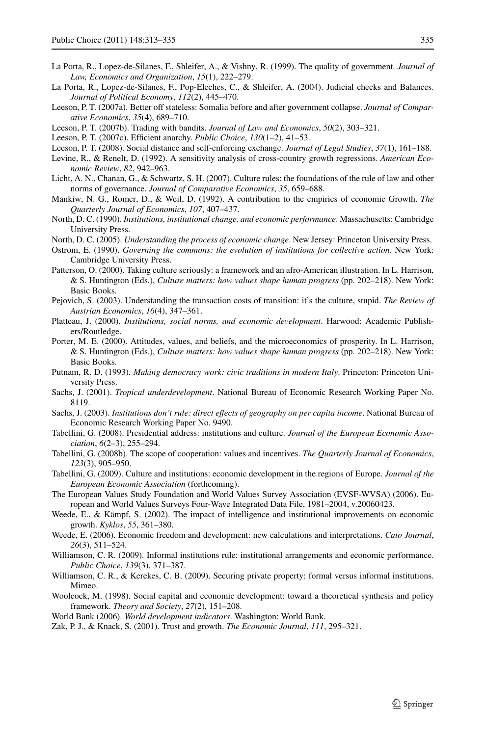- La Porta, R., Lopez-de-Silanes, F., Shleifer, A., & Vishny, R. (1999). The quality of government. *Journal of Law, Economics and Organization*, *15*(1), 222–279.
- La Porta, R., Lopez-de-Silanes, F., Pop-Eleches, C., & Shleifer, A. (2004). Judicial checks and Balances. *Journal of Political Economy*, *112*(2), 445–470.
- Leeson, P. T. (2007a). Better off stateless: Somalia before and after government collapse. *Journal of Comparative Economics*, *35*(4), 689–710.
- Leeson, P. T. (2007b). Trading with bandits. *Journal of Law and Economics*, *50*(2), 303–321.
- Leeson, P. T. (2007c). Efficient anarchy. *Public Choice*, *130*(1–2), 41–53.
- Leeson, P. T. (2008). Social distance and self-enforcing exchange. *Journal of Legal Studies*, *37*(1), 161–188.
- Levine, R., & Renelt, D. (1992). A sensitivity analysis of cross-country growth regressions. *American Economic Review*, *82*, 942–963.
- Licht, A. N., Chanan, G., & Schwartz, S. H. (2007). Culture rules: the foundations of the rule of law and other norms of governance. *Journal of Comparative Economics*, *35*, 659–688.
- Mankiw, N. G., Romer, D., & Weil, D. (1992). A contribution to the empirics of economic Growth. *The Quarterly Journal of Economics*, *107*, 407–437.
- North, D. C. (1990). *Institutions, institutional change, and economic performance*. Massachusetts: Cambridge University Press.
- North, D. C. (2005). *Understanding the process of economic change*. New Jersey: Princeton University Press.
- Ostrom, E. (1990). *Governing the commons: the evolution of institutions for collective action*. New York: Cambridge University Press.
- Patterson, O. (2000). Taking culture seriously: a framework and an afro-American illustration. In L. Harrison, & S. Huntington (Eds.), *Culture matters: how values shape human progress* (pp. 202–218). New York: Basic Books.
- Pejovich, S. (2003). Understanding the transaction costs of transition: it's the culture, stupid. *The Review of Austrian Economics*, *16*(4), 347–361.
- Platteau, J. (2000). *Institutions, social norms, and economic development*. Harwood: Academic Publishers/Routledge.
- Porter, M. E. (2000). Attitudes, values, and beliefs, and the microeconomics of prosperity. In L. Harrison, & S. Huntington (Eds.), *Culture matters: how values shape human progress* (pp. 202–218). New York: Basic Books.
- Putnam, R. D. (1993). *Making democracy work: civic traditions in modern Italy*. Princeton: Princeton University Press.
- Sachs, J. (2001). *Tropical underdevelopment*. National Bureau of Economic Research Working Paper No. 8119.
- Sachs, J. (2003). *Institutions don't rule: direct effects of geography on per capita income*. National Bureau of Economic Research Working Paper No. 9490.
- Tabellini, G. (2008). Presidential address: institutions and culture. *Journal of the European Economic Association*, *6*(2–3), 255–294.
- Tabellini, G. (2008b). The scope of cooperation: values and incentives. *The Quarterly Journal of Economics*, *123*(3), 905–950.
- Tabellini, G. (2009). Culture and institutions: economic development in the regions of Europe. *Journal of the European Economic Association* (forthcoming).
- The European Values Study Foundation and World Values Survey Association (EVSF-WVSA) (2006). European and World Values Surveys Four-Wave Integrated Data File, 1981–2004, v.20060423.
- Weede, E., & Kämpf, S. (2002). The impact of intelligence and institutional improvements on economic growth. *Kyklos*, *55*, 361–380.
- Weede, E. (2006). Economic freedom and development: new calculations and interpretations. *Cato Journal*, *26*(3), 511–524.
- Williamson, C. R. (2009). Informal institutions rule: institutional arrangements and economic performance. *Public Choice*, *139*(3), 371–387.
- Williamson, C. R., & Kerekes, C. B. (2009). Securing private property: formal versus informal institutions. Mimeo.
- Woolcock, M. (1998). Social capital and economic development: toward a theoretical synthesis and policy framework. *Theory and Society*, *27*(2), 151–208.
- World Bank (2006). *World development indicators*. Washington: World Bank.
- Zak, P. J., & Knack, S. (2001). Trust and growth. *The Economic Journal*, *111*, 295–321.